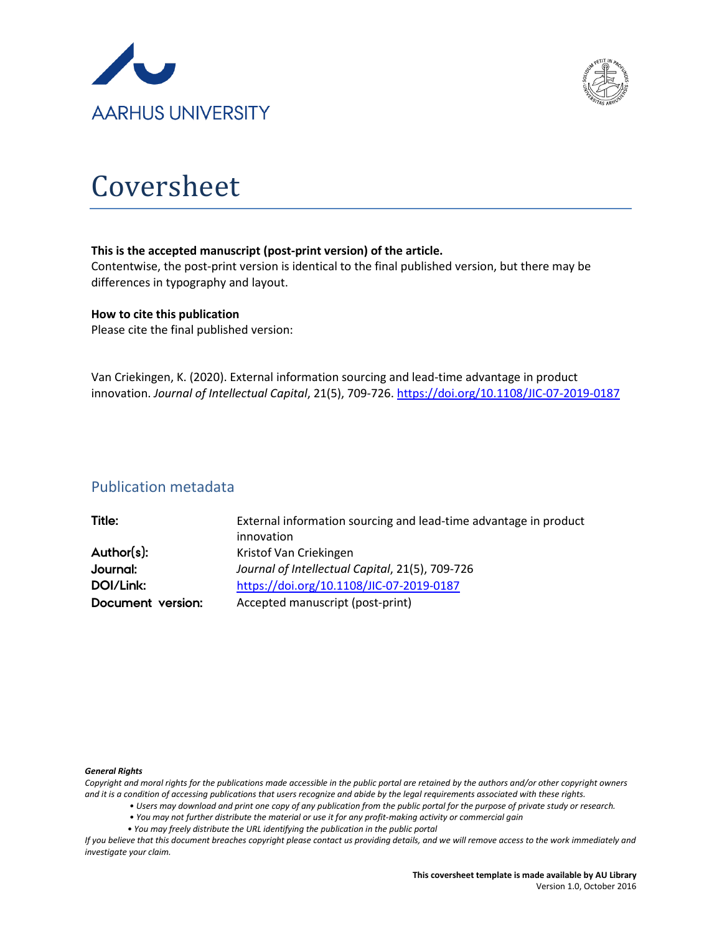



# Coversheet

#### **This is the accepted manuscript (post-print version) of the article.**

Contentwise, the post-print version is identical to the final published version, but there may be differences in typography and layout.

#### **How to cite this publication**

Please cite the final published version:

Van Criekingen, K. (2020). External information sourcing and lead-time advantage in product innovation. *Journal of Intellectual Capital*, 21(5), 709-726[. https://doi.org/10.1108/JIC-07-2019-0187](https://doi.org/10.1108/JIC-07-2019-0187)

## Publication metadata

| Title:            | External information sourcing and lead-time advantage in product |
|-------------------|------------------------------------------------------------------|
|                   | innovation                                                       |
| Author(s):        | Kristof Van Criekingen                                           |
| Journal:          | Journal of Intellectual Capital, 21(5), 709-726                  |
| DOI/Link:         | https://doi.org/10.1108/JIC-07-2019-0187                         |
| Document version: | Accepted manuscript (post-print)                                 |

#### *General Rights*

*Copyright and moral rights for the publications made accessible in the public portal are retained by the authors and/or other copyright owners and it is a condition of accessing publications that users recognize and abide by the legal requirements associated with these rights.*

- *Users may download and print one copy of any publication from the public portal for the purpose of private study or research.*
- *You may not further distribute the material or use it for any profit-making activity or commercial gain*
- *You may freely distribute the URL identifying the publication in the public portal*

*If you believe that this document breaches copyright please contact us providing details, and we will remove access to the work immediately and investigate your claim.*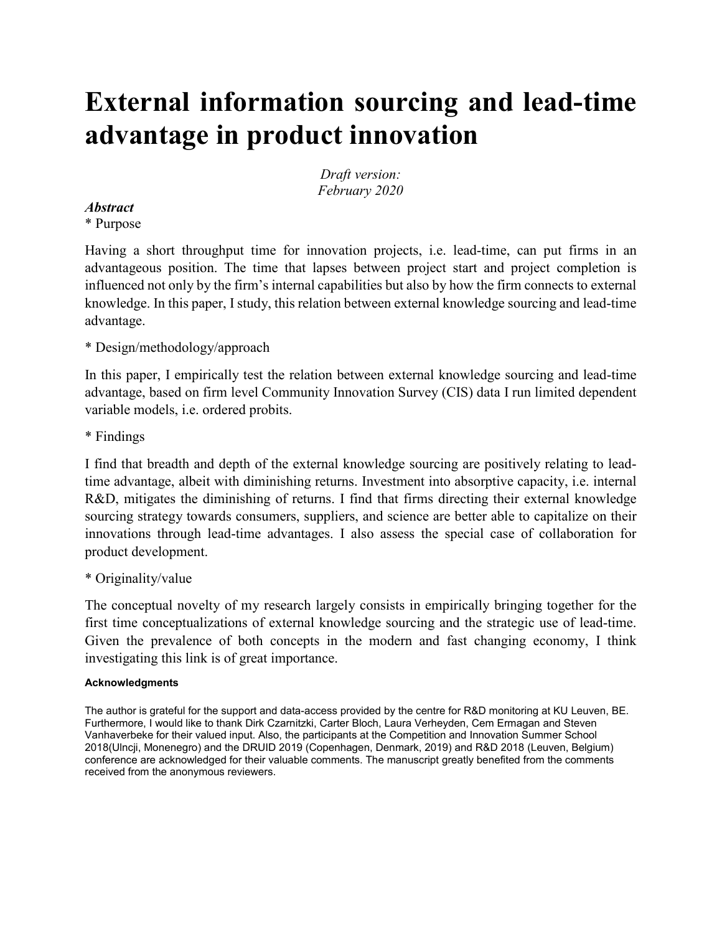# **External information sourcing and lead-time advantage in product innovation**

*Draft version: February 2020*

#### *Abstract*

\* Purpose

Having a short throughput time for innovation projects, i.e. lead-time, can put firms in an advantageous position. The time that lapses between project start and project completion is influenced not only by the firm's internal capabilities but also by how the firm connects to external knowledge. In this paper, I study, this relation between external knowledge sourcing and lead-time advantage.

### \* Design/methodology/approach

In this paper, I empirically test the relation between external knowledge sourcing and lead-time advantage, based on firm level Community Innovation Survey (CIS) data I run limited dependent variable models, i.e. ordered probits.

\* Findings

I find that breadth and depth of the external knowledge sourcing are positively relating to leadtime advantage, albeit with diminishing returns. Investment into absorptive capacity, i.e. internal R&D, mitigates the diminishing of returns. I find that firms directing their external knowledge sourcing strategy towards consumers, suppliers, and science are better able to capitalize on their innovations through lead-time advantages. I also assess the special case of collaboration for product development.

#### \* Originality/value

The conceptual novelty of my research largely consists in empirically bringing together for the first time conceptualizations of external knowledge sourcing and the strategic use of lead-time. Given the prevalence of both concepts in the modern and fast changing economy, I think investigating this link is of great importance.

#### **Acknowledgments**

The author is grateful for the support and data-access provided by the centre for R&D monitoring at KU Leuven, BE. Furthermore, I would like to thank Dirk Czarnitzki, Carter Bloch, Laura Verheyden, Cem Ermagan and Steven Vanhaverbeke for their valued input. Also, the participants at the Competition and Innovation Summer School 2018(Ulncji, Monenegro) and the DRUID 2019 (Copenhagen, Denmark, 2019) and R&D 2018 (Leuven, Belgium) conference are acknowledged for their valuable comments. The manuscript greatly benefited from the comments received from the anonymous reviewers.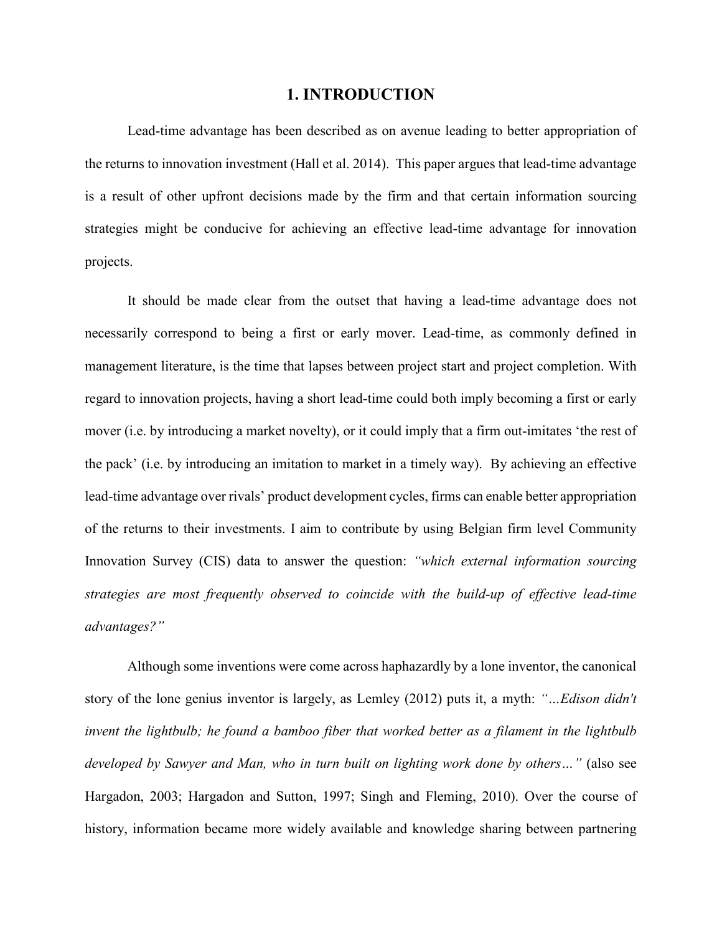#### **1. INTRODUCTION**

Lead-time advantage has been described as on avenue leading to better appropriation of the returns to innovation investment (Hall et al. 2014). This paper argues that lead-time advantage is a result of other upfront decisions made by the firm and that certain information sourcing strategies might be conducive for achieving an effective lead-time advantage for innovation projects.

It should be made clear from the outset that having a lead-time advantage does not necessarily correspond to being a first or early mover. Lead-time, as commonly defined in management literature, is the time that lapses between project start and project completion. With regard to innovation projects, having a short lead-time could both imply becoming a first or early mover (i.e. by introducing a market novelty), or it could imply that a firm out-imitates 'the rest of the pack' (i.e. by introducing an imitation to market in a timely way). By achieving an effective lead-time advantage over rivals' product development cycles, firms can enable better appropriation of the returns to their investments. I aim to contribute by using Belgian firm level Community Innovation Survey (CIS) data to answer the question: *"which external information sourcing strategies are most frequently observed to coincide with the build-up of effective lead-time advantages?"*

Although some inventions were come across haphazardly by a lone inventor, the canonical story of the lone genius inventor is largely, as Lemley (2012) puts it, a myth: *"…Edison didn't invent the lightbulb; he found a bamboo fiber that worked better as a filament in the lightbulb developed by Sawyer and Man, who in turn built on lighting work done by others…"* (also see Hargadon, 2003; Hargadon and Sutton, 1997; Singh and Fleming, 2010). Over the course of history, information became more widely available and knowledge sharing between partnering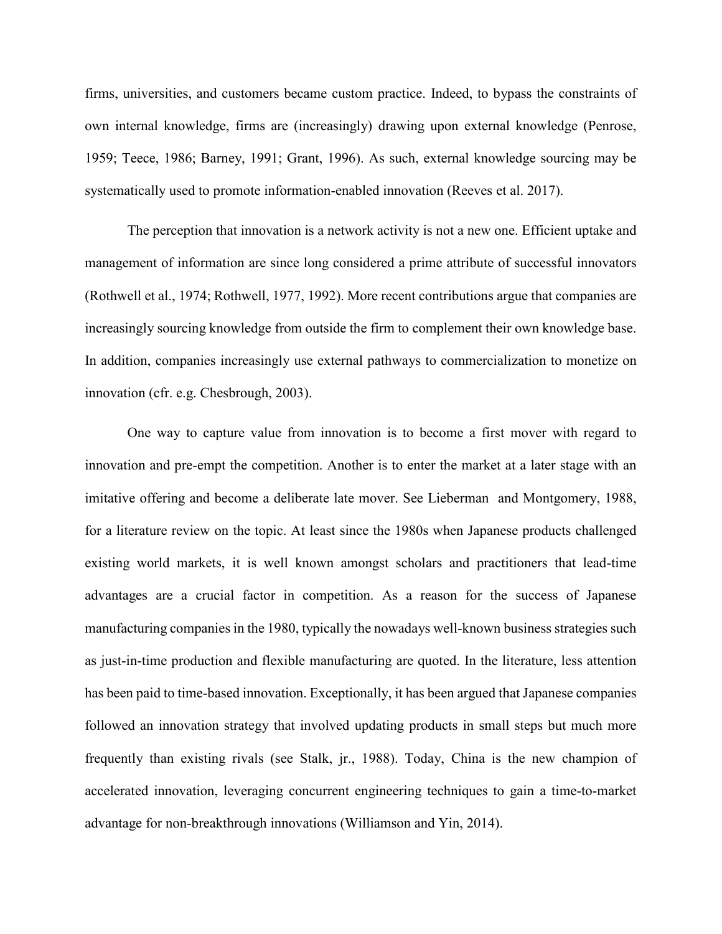firms, universities, and customers became custom practice. Indeed, to bypass the constraints of own internal knowledge, firms are (increasingly) drawing upon external knowledge (Penrose, 1959; Teece, 1986; Barney, 1991; Grant, 1996). As such, external knowledge sourcing may be systematically used to promote information-enabled innovation (Reeves et al. 2017).

The perception that innovation is a network activity is not a new one. Efficient uptake and management of information are since long considered a prime attribute of successful innovators (Rothwell et al., 1974; Rothwell, 1977, 1992). More recent contributions argue that companies are increasingly sourcing knowledge from outside the firm to complement their own knowledge base. In addition, companies increasingly use external pathways to commercialization to monetize on innovation (cfr. e.g. Chesbrough, 2003).

One way to capture value from innovation is to become a first mover with regard to innovation and pre-empt the competition. Another is to enter the market at a later stage with an imitative offering and become a deliberate late mover. See Lieberman and Montgomery, 1988, for a literature review on the topic. At least since the 1980s when Japanese products challenged existing world markets, it is well known amongst scholars and practitioners that lead-time advantages are a crucial factor in competition. As a reason for the success of Japanese manufacturing companies in the 1980, typically the nowadays well-known business strategies such as just-in-time production and flexible manufacturing are quoted. In the literature, less attention has been paid to time-based innovation. Exceptionally, it has been argued that Japanese companies followed an innovation strategy that involved updating products in small steps but much more frequently than existing rivals (see Stalk, jr., 1988). Today, China is the new champion of accelerated innovation, leveraging concurrent engineering techniques to gain a time-to-market advantage for non-breakthrough innovations (Williamson and Yin, 2014).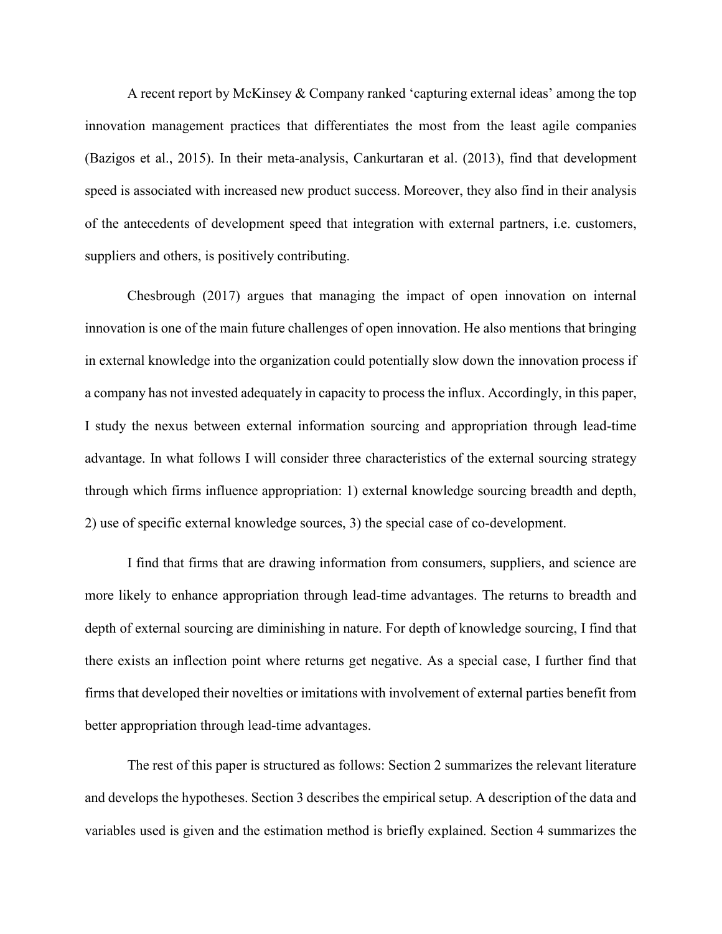A recent report by McKinsey & Company ranked 'capturing external ideas' among the top innovation management practices that differentiates the most from the least agile companies (Bazigos et al., 2015). In their meta-analysis, Cankurtaran et al. (2013), find that development speed is associated with increased new product success. Moreover, they also find in their analysis of the antecedents of development speed that integration with external partners, i.e. customers, suppliers and others, is positively contributing.

Chesbrough (2017) argues that managing the impact of open innovation on internal innovation is one of the main future challenges of open innovation. He also mentions that bringing in external knowledge into the organization could potentially slow down the innovation process if a company has not invested adequately in capacity to process the influx. Accordingly, in this paper, I study the nexus between external information sourcing and appropriation through lead-time advantage. In what follows I will consider three characteristics of the external sourcing strategy through which firms influence appropriation: 1) external knowledge sourcing breadth and depth, 2) use of specific external knowledge sources, 3) the special case of co-development.

I find that firms that are drawing information from consumers, suppliers, and science are more likely to enhance appropriation through lead-time advantages. The returns to breadth and depth of external sourcing are diminishing in nature. For depth of knowledge sourcing, I find that there exists an inflection point where returns get negative. As a special case, I further find that firms that developed their novelties or imitations with involvement of external parties benefit from better appropriation through lead-time advantages.

The rest of this paper is structured as follows: Section 2 summarizes the relevant literature and develops the hypotheses. Section 3 describes the empirical setup. A description of the data and variables used is given and the estimation method is briefly explained. Section 4 summarizes the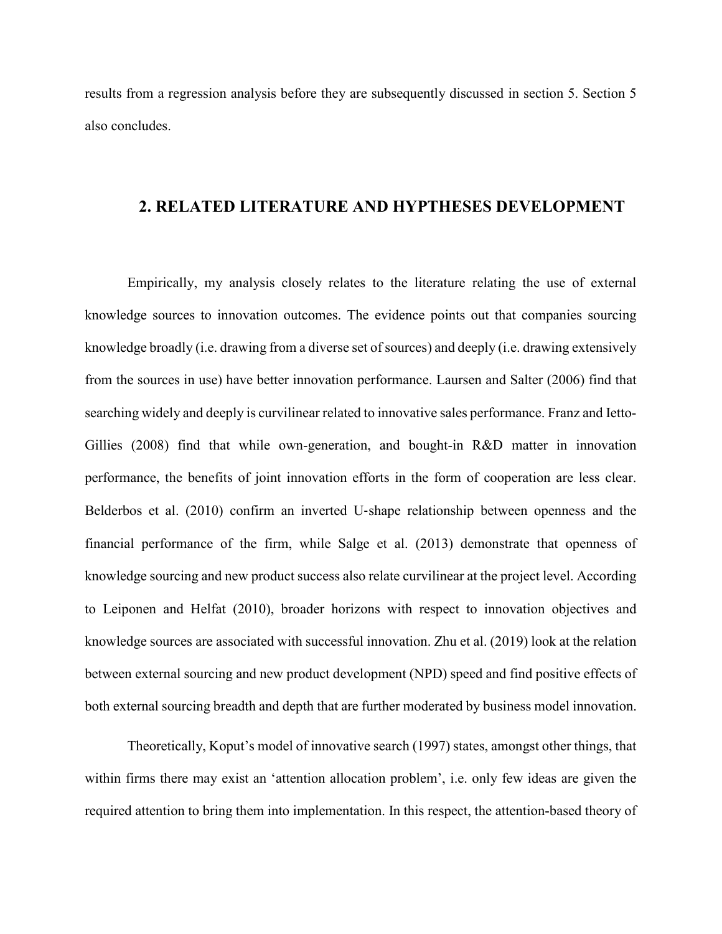results from a regression analysis before they are subsequently discussed in section 5. Section 5 also concludes.

#### **2. RELATED LITERATURE AND HYPTHESES DEVELOPMENT**

Empirically, my analysis closely relates to the literature relating the use of external knowledge sources to innovation outcomes. The evidence points out that companies sourcing knowledge broadly (i.e. drawing from a diverse set of sources) and deeply (i.e. drawing extensively from the sources in use) have better innovation performance. Laursen and Salter (2006) find that searching widely and deeply is curvilinear related to innovative sales performance. Franz and Ietto-Gillies (2008) find that while own-generation, and bought-in R&D matter in innovation performance, the benefits of joint innovation efforts in the form of cooperation are less clear. Belderbos et al. (2010) confirm an inverted U‐shape relationship between openness and the financial performance of the firm, while Salge et al. (2013) demonstrate that openness of knowledge sourcing and new product success also relate curvilinear at the project level. According to Leiponen and Helfat (2010), broader horizons with respect to innovation objectives and knowledge sources are associated with successful innovation. Zhu et al. (2019) look at the relation between external sourcing and new product development (NPD) speed and find positive effects of both external sourcing breadth and depth that are further moderated by business model innovation.

Theoretically, Koput's model of innovative search (1997) states, amongst other things, that within firms there may exist an 'attention allocation problem', i.e. only few ideas are given the required attention to bring them into implementation. In this respect, the attention-based theory of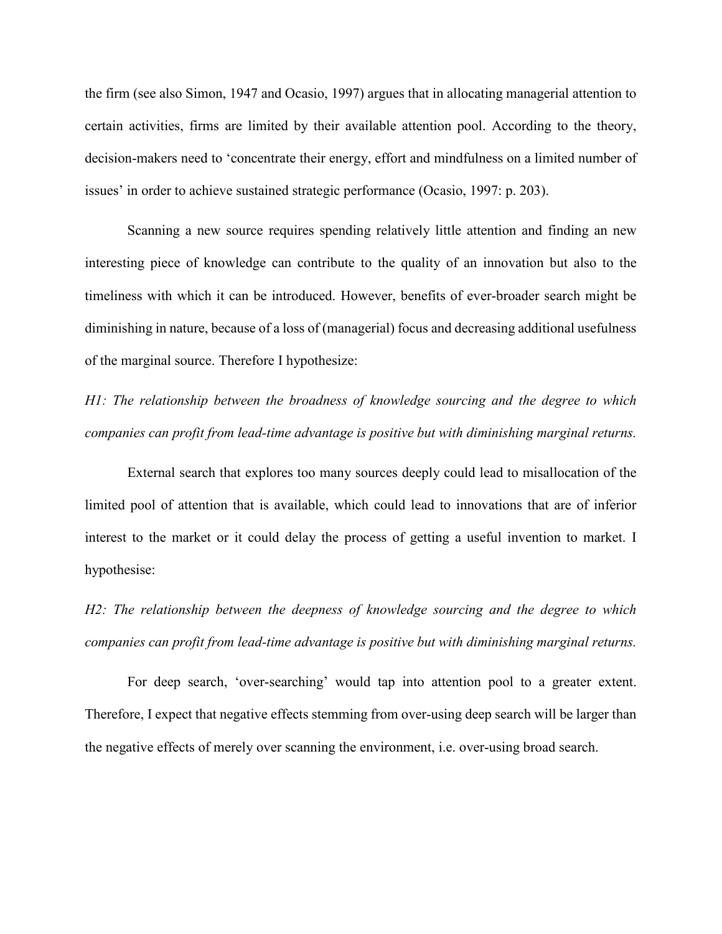the firm (see also Simon, 1947 and Ocasio, 1997) argues that in allocating managerial attention to certain activities, firms are limited by their available attention pool. According to the theory, decision-makers need to 'concentrate their energy, effort and mindfulness on a limited number of issues' in order to achieve sustained strategic performance (Ocasio, 1997: p. 203).

Scanning a new source requires spending relatively little attention and finding an new interesting piece of knowledge can contribute to the quality of an innovation but also to the timeliness with which it can be introduced. However, benefits of ever-broader search might be diminishing in nature, because of a loss of (managerial) focus and decreasing additional usefulness of the marginal source. Therefore I hypothesize:

*H1: The relationship between the broadness of knowledge sourcing and the degree to which companies can profit from lead-time advantage is positive but with diminishing marginal returns.*

External search that explores too many sources deeply could lead to misallocation of the limited pool of attention that is available, which could lead to innovations that are of inferior interest to the market or it could delay the process of getting a useful invention to market. I hypothesise:

*H2: The relationship between the deepness of knowledge sourcing and the degree to which companies can profit from lead-time advantage is positive but with diminishing marginal returns.*

For deep search, 'over-searching' would tap into attention pool to a greater extent. Therefore, I expect that negative effects stemming from over-using deep search will be larger than the negative effects of merely over scanning the environment, i.e. over-using broad search.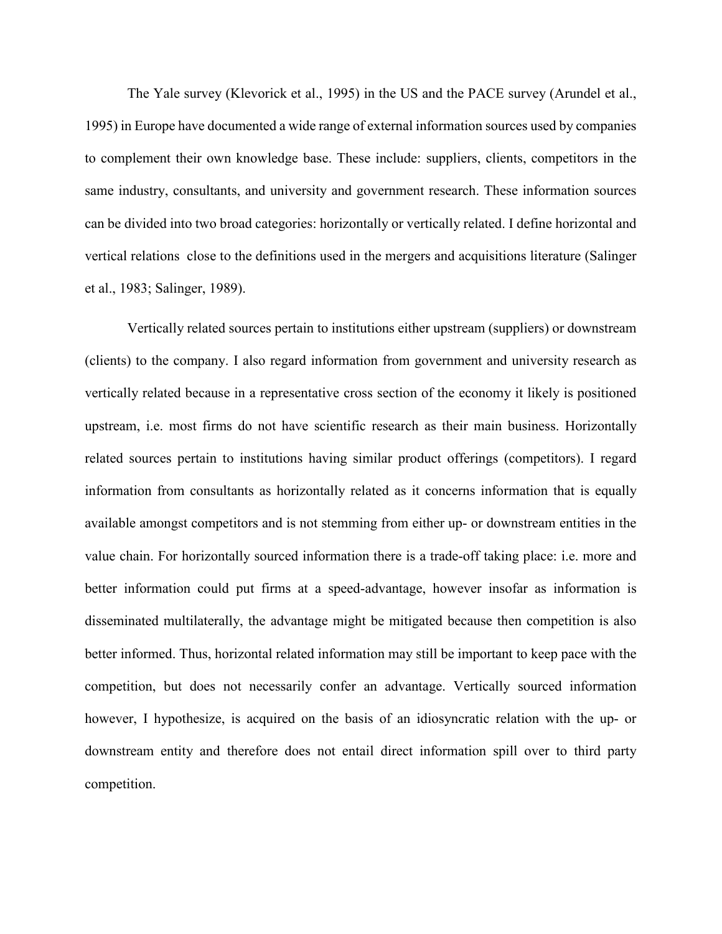The Yale survey (Klevorick et al., 1995) in the US and the PACE survey (Arundel et al., 1995) in Europe have documented a wide range of external information sources used by companies to complement their own knowledge base. These include: suppliers, clients, competitors in the same industry, consultants, and university and government research. These information sources can be divided into two broad categories: horizontally or vertically related. I define horizontal and vertical relations close to the definitions used in the mergers and acquisitions literature (Salinger et al., 1983; Salinger, 1989).

Vertically related sources pertain to institutions either upstream (suppliers) or downstream (clients) to the company. I also regard information from government and university research as vertically related because in a representative cross section of the economy it likely is positioned upstream, i.e. most firms do not have scientific research as their main business. Horizontally related sources pertain to institutions having similar product offerings (competitors). I regard information from consultants as horizontally related as it concerns information that is equally available amongst competitors and is not stemming from either up- or downstream entities in the value chain. For horizontally sourced information there is a trade-off taking place: i.e. more and better information could put firms at a speed-advantage, however insofar as information is disseminated multilaterally, the advantage might be mitigated because then competition is also better informed. Thus, horizontal related information may still be important to keep pace with the competition, but does not necessarily confer an advantage. Vertically sourced information however, I hypothesize, is acquired on the basis of an idiosyncratic relation with the up- or downstream entity and therefore does not entail direct information spill over to third party competition.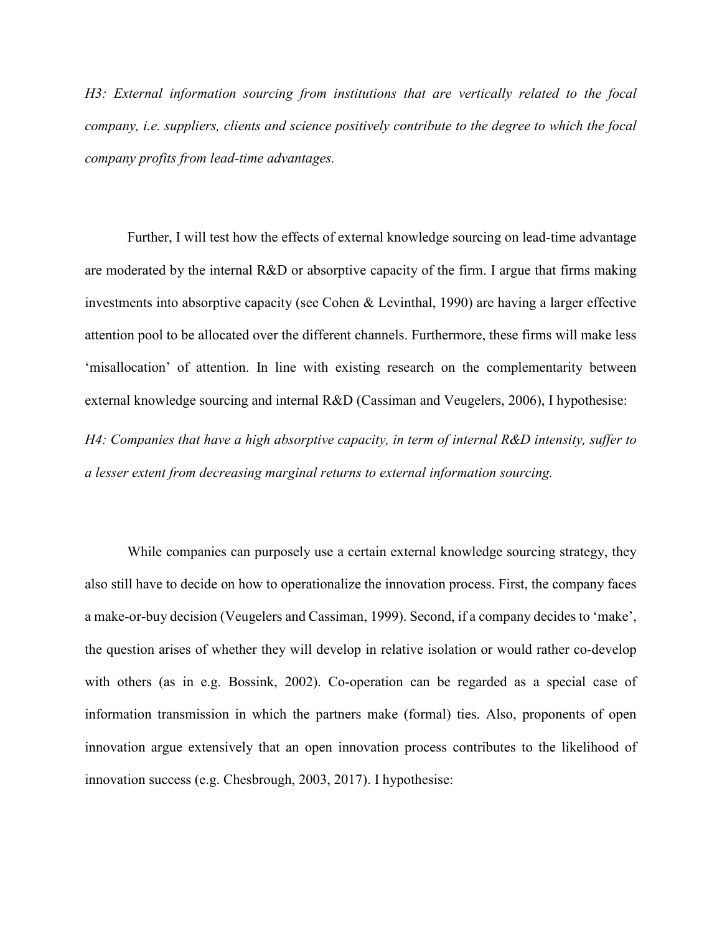*H3: External information sourcing from institutions that are vertically related to the focal company, i.e. suppliers, clients and science positively contribute to the degree to which the focal company profits from lead-time advantages.*

Further, I will test how the effects of external knowledge sourcing on lead-time advantage are moderated by the internal R&D or absorptive capacity of the firm. I argue that firms making investments into absorptive capacity (see Cohen & Levinthal, 1990) are having a larger effective attention pool to be allocated over the different channels. Furthermore, these firms will make less 'misallocation' of attention. In line with existing research on the complementarity between external knowledge sourcing and internal R&D (Cassiman and Veugelers, 2006), I hypothesise:

*H4: Companies that have a high absorptive capacity, in term of internal R&D intensity, suffer to a lesser extent from decreasing marginal returns to external information sourcing.* 

While companies can purposely use a certain external knowledge sourcing strategy, they also still have to decide on how to operationalize the innovation process. First, the company faces a make-or-buy decision (Veugelers and Cassiman, 1999). Second, if a company decides to 'make', the question arises of whether they will develop in relative isolation or would rather co-develop with others (as in e.g. Bossink, 2002). Co-operation can be regarded as a special case of information transmission in which the partners make (formal) ties. Also, proponents of open innovation argue extensively that an open innovation process contributes to the likelihood of innovation success (e.g. Chesbrough, 2003, 2017). I hypothesise: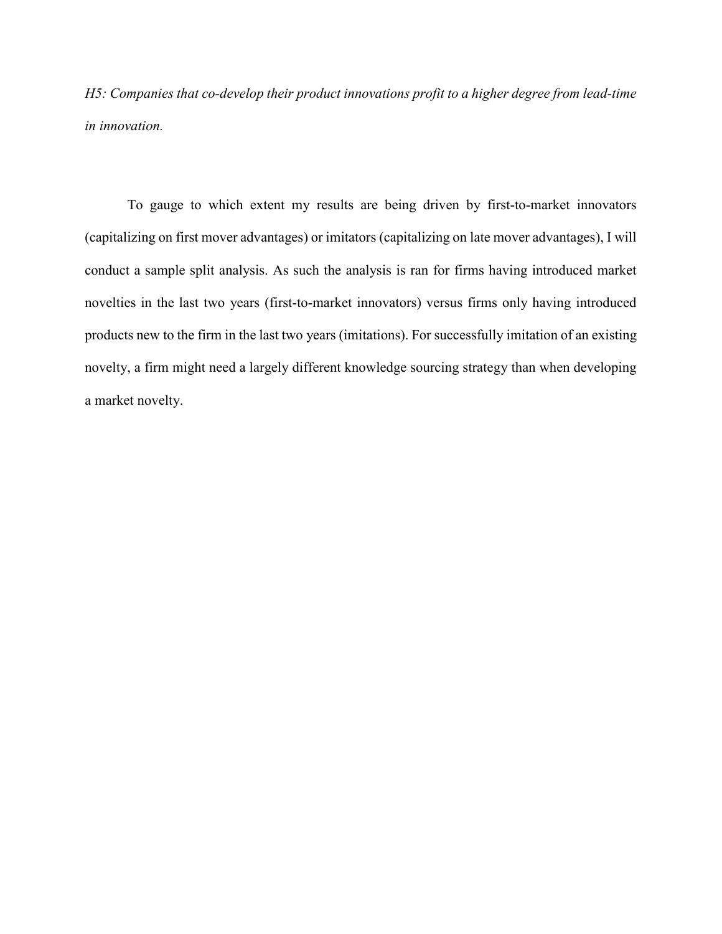*H5: Companies that co-develop their product innovations profit to a higher degree from lead-time in innovation.*

To gauge to which extent my results are being driven by first-to-market innovators (capitalizing on first mover advantages) or imitators (capitalizing on late mover advantages), I will conduct a sample split analysis. As such the analysis is ran for firms having introduced market novelties in the last two years (first-to-market innovators) versus firms only having introduced products new to the firm in the last two years (imitations). For successfully imitation of an existing novelty, a firm might need a largely different knowledge sourcing strategy than when developing a market novelty.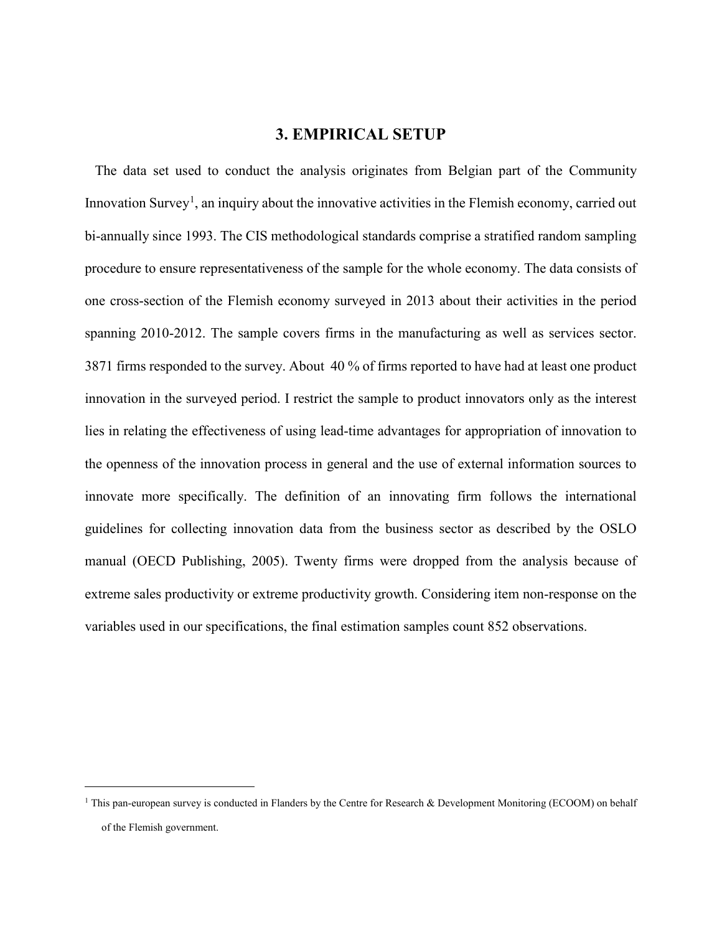## **3. EMPIRICAL SETUP**

The data set used to conduct the analysis originates from Belgian part of the Community Innovation Survey<sup>[1](#page-10-0)</sup>, an inquiry about the innovative activities in the Flemish economy, carried out bi-annually since 1993. The CIS methodological standards comprise a stratified random sampling procedure to ensure representativeness of the sample for the whole economy. The data consists of one cross-section of the Flemish economy surveyed in 2013 about their activities in the period spanning 2010-2012. The sample covers firms in the manufacturing as well as services sector. 3871 firms responded to the survey. About 40 % of firms reported to have had at least one product innovation in the surveyed period. I restrict the sample to product innovators only as the interest lies in relating the effectiveness of using lead-time advantages for appropriation of innovation to the openness of the innovation process in general and the use of external information sources to innovate more specifically. The definition of an innovating firm follows the international guidelines for collecting innovation data from the business sector as described by the OSLO manual (OECD Publishing, 2005). Twenty firms were dropped from the analysis because of extreme sales productivity or extreme productivity growth. Considering item non-response on the variables used in our specifications, the final estimation samples count 852 observations.

<span id="page-10-0"></span> $1$  This pan-european survey is conducted in Flanders by the Centre for Research & Development Monitoring (ECOOM) on behalf of the Flemish government.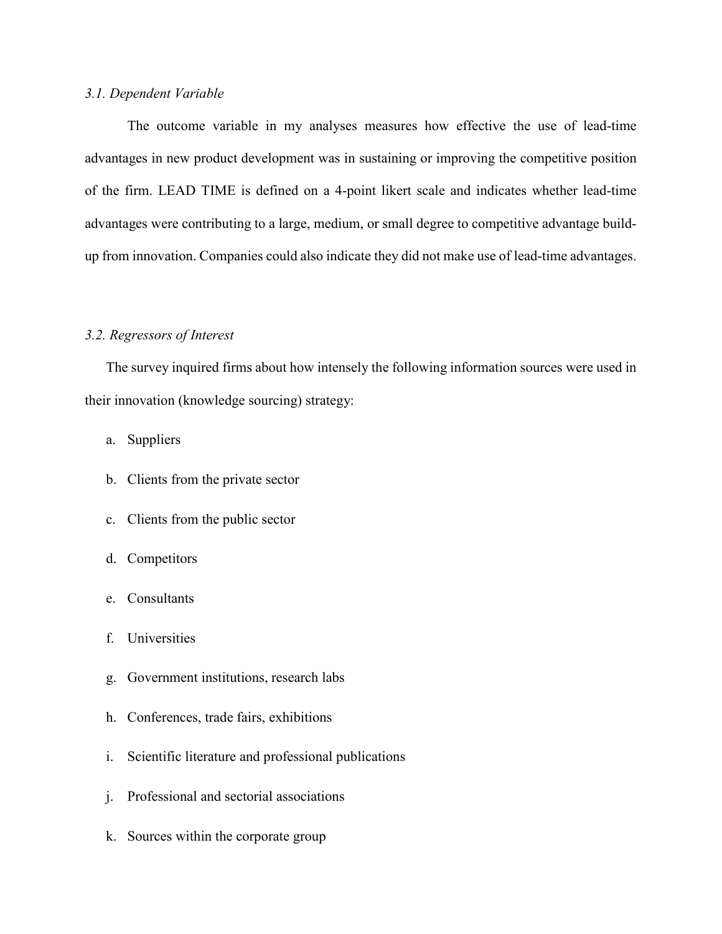#### *3.1. Dependent Variable*

The outcome variable in my analyses measures how effective the use of lead-time advantages in new product development was in sustaining or improving the competitive position of the firm. LEAD TIME is defined on a 4-point likert scale and indicates whether lead-time advantages were contributing to a large, medium, or small degree to competitive advantage buildup from innovation. Companies could also indicate they did not make use of lead-time advantages.

#### *3.2. Regressors of Interest*

The survey inquired firms about how intensely the following information sources were used in their innovation (knowledge sourcing) strategy:

- a. Suppliers
- b. Clients from the private sector
- c. Clients from the public sector
- d. Competitors
- e. Consultants
- f. Universities
- g. Government institutions, research labs
- h. Conferences, trade fairs, exhibitions
- i. Scientific literature and professional publications
- j. Professional and sectorial associations
- k. Sources within the corporate group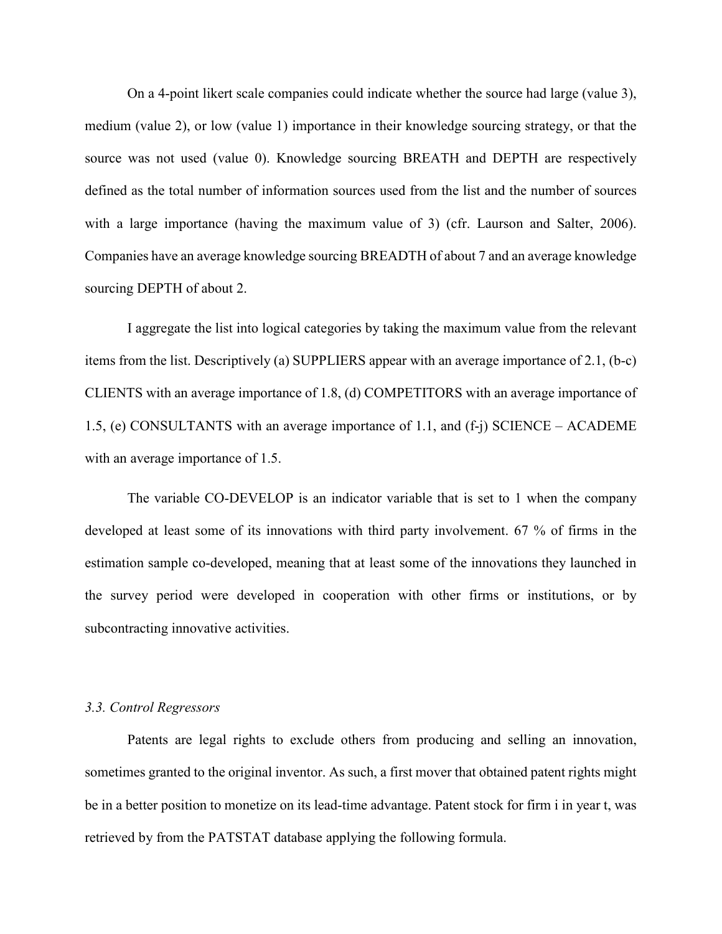On a 4-point likert scale companies could indicate whether the source had large (value 3), medium (value 2), or low (value 1) importance in their knowledge sourcing strategy, or that the source was not used (value 0). Knowledge sourcing BREATH and DEPTH are respectively defined as the total number of information sources used from the list and the number of sources with a large importance (having the maximum value of 3) (cfr. Laurson and Salter, 2006). Companies have an average knowledge sourcing BREADTH of about 7 and an average knowledge sourcing DEPTH of about 2.

I aggregate the list into logical categories by taking the maximum value from the relevant items from the list. Descriptively (a) SUPPLIERS appear with an average importance of 2.1, (b-c) CLIENTS with an average importance of 1.8, (d) COMPETITORS with an average importance of 1.5, (e) CONSULTANTS with an average importance of 1.1, and (f-j) SCIENCE – ACADEME with an average importance of 1.5.

The variable CO-DEVELOP is an indicator variable that is set to 1 when the company developed at least some of its innovations with third party involvement. 67 % of firms in the estimation sample co-developed, meaning that at least some of the innovations they launched in the survey period were developed in cooperation with other firms or institutions, or by subcontracting innovative activities.

#### *3.3. Control Regressors*

Patents are legal rights to exclude others from producing and selling an innovation, sometimes granted to the original inventor. As such, a first mover that obtained patent rights might be in a better position to monetize on its lead-time advantage. Patent stock for firm i in year t, was retrieved by from the PATSTAT database applying the following formula.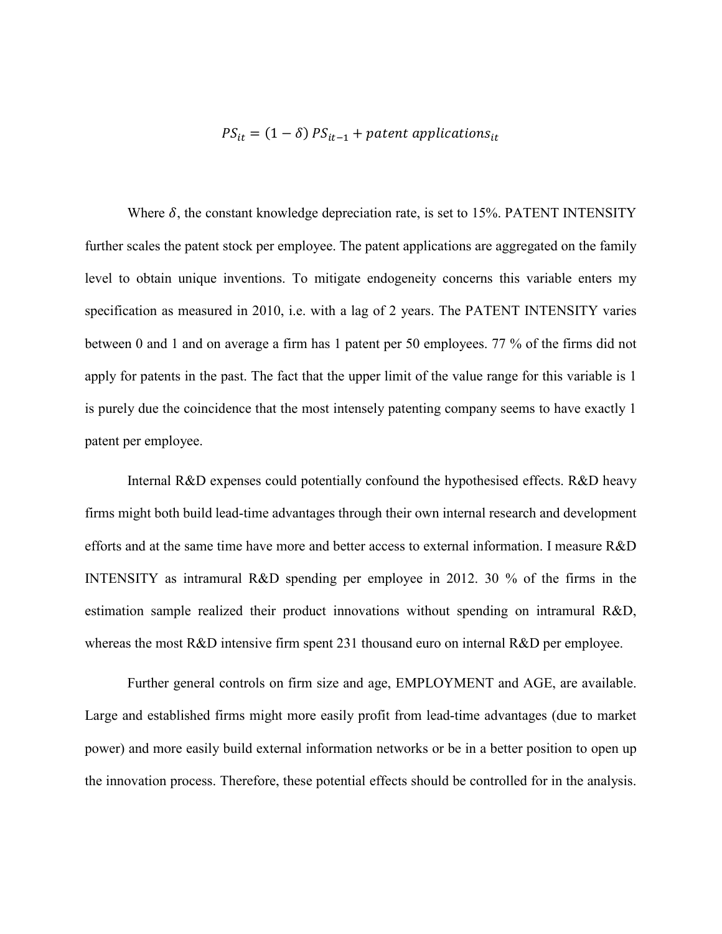## $PS_{it} = (1 - \delta) PS_{it-1} + patent$  applications<sub>it</sub>

Where  $\delta$ , the constant knowledge depreciation rate, is set to 15%. PATENT INTENSITY further scales the patent stock per employee. The patent applications are aggregated on the family level to obtain unique inventions. To mitigate endogeneity concerns this variable enters my specification as measured in 2010, i.e. with a lag of 2 years. The PATENT INTENSITY varies between 0 and 1 and on average a firm has 1 patent per 50 employees. 77 % of the firms did not apply for patents in the past. The fact that the upper limit of the value range for this variable is 1 is purely due the coincidence that the most intensely patenting company seems to have exactly 1 patent per employee.

Internal R&D expenses could potentially confound the hypothesised effects. R&D heavy firms might both build lead-time advantages through their own internal research and development efforts and at the same time have more and better access to external information. I measure R&D INTENSITY as intramural R&D spending per employee in 2012. 30 % of the firms in the estimation sample realized their product innovations without spending on intramural R&D, whereas the most R&D intensive firm spent 231 thousand euro on internal R&D per employee.

Further general controls on firm size and age, EMPLOYMENT and AGE, are available. Large and established firms might more easily profit from lead-time advantages (due to market power) and more easily build external information networks or be in a better position to open up the innovation process. Therefore, these potential effects should be controlled for in the analysis.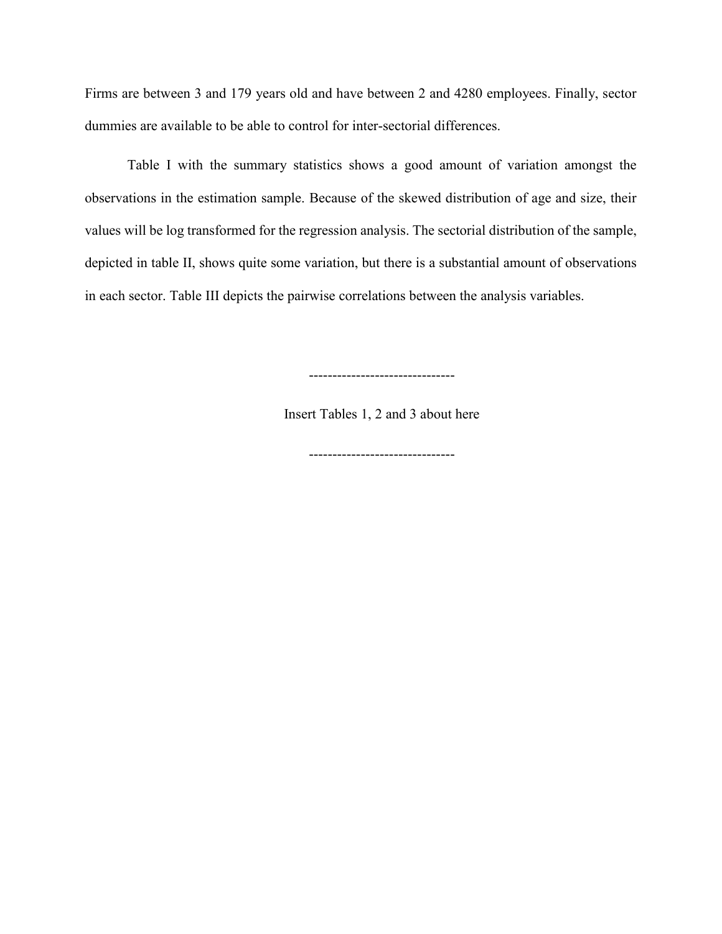Firms are between 3 and 179 years old and have between 2 and 4280 employees. Finally, sector dummies are available to be able to control for inter-sectorial differences.

Table I with the summary statistics shows a good amount of variation amongst the observations in the estimation sample. Because of the skewed distribution of age and size, their values will be log transformed for the regression analysis. The sectorial distribution of the sample, depicted in table II, shows quite some variation, but there is a substantial amount of observations in each sector. Table III depicts the pairwise correlations between the analysis variables.

-------------------------------

Insert Tables 1, 2 and 3 about here

-------------------------------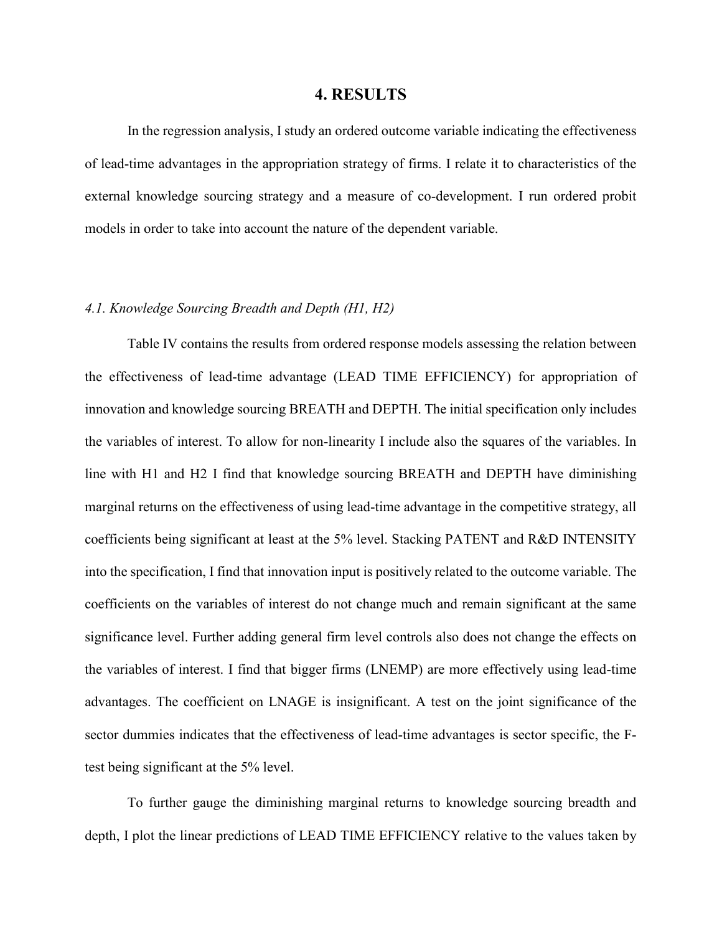#### **4. RESULTS**

In the regression analysis, I study an ordered outcome variable indicating the effectiveness of lead-time advantages in the appropriation strategy of firms. I relate it to characteristics of the external knowledge sourcing strategy and a measure of co-development. I run ordered probit models in order to take into account the nature of the dependent variable.

#### *4.1. Knowledge Sourcing Breadth and Depth (H1, H2)*

Table IV contains the results from ordered response models assessing the relation between the effectiveness of lead-time advantage (LEAD TIME EFFICIENCY) for appropriation of innovation and knowledge sourcing BREATH and DEPTH. The initial specification only includes the variables of interest. To allow for non-linearity I include also the squares of the variables. In line with H1 and H2 I find that knowledge sourcing BREATH and DEPTH have diminishing marginal returns on the effectiveness of using lead-time advantage in the competitive strategy, all coefficients being significant at least at the 5% level. Stacking PATENT and R&D INTENSITY into the specification, I find that innovation input is positively related to the outcome variable. The coefficients on the variables of interest do not change much and remain significant at the same significance level. Further adding general firm level controls also does not change the effects on the variables of interest. I find that bigger firms (LNEMP) are more effectively using lead-time advantages. The coefficient on LNAGE is insignificant. A test on the joint significance of the sector dummies indicates that the effectiveness of lead-time advantages is sector specific, the Ftest being significant at the 5% level.

To further gauge the diminishing marginal returns to knowledge sourcing breadth and depth, I plot the linear predictions of LEAD TIME EFFICIENCY relative to the values taken by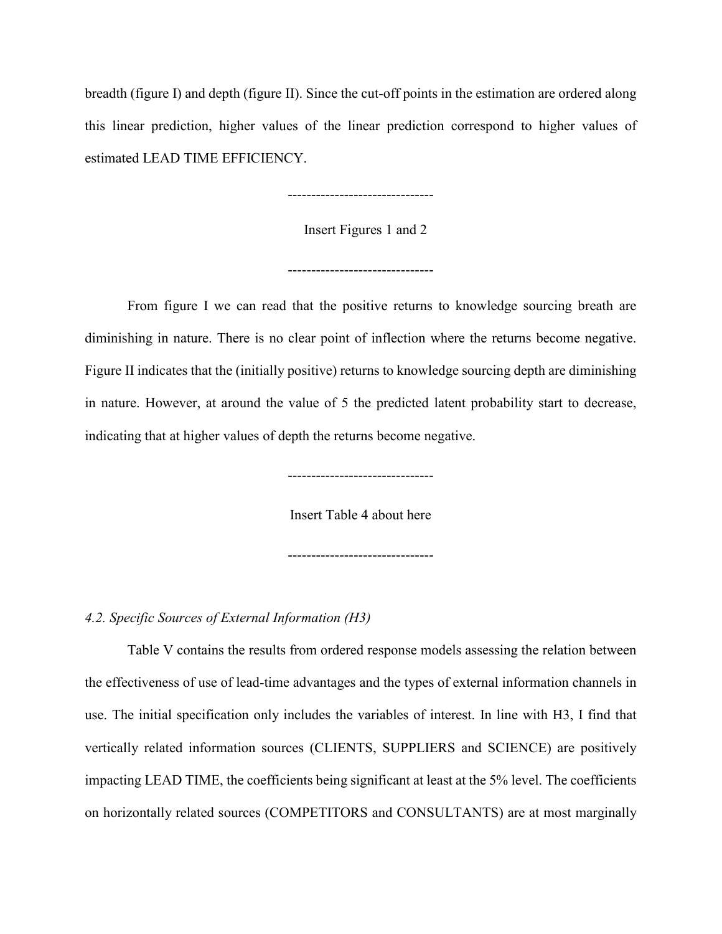breadth (figure I) and depth (figure II). Since the cut-off points in the estimation are ordered along this linear prediction, higher values of the linear prediction correspond to higher values of estimated LEAD TIME EFFICIENCY.

-------------------------------

Insert Figures 1 and 2

-------------------------------

From figure I we can read that the positive returns to knowledge sourcing breath are diminishing in nature. There is no clear point of inflection where the returns become negative. Figure II indicates that the (initially positive) returns to knowledge sourcing depth are diminishing in nature. However, at around the value of 5 the predicted latent probability start to decrease, indicating that at higher values of depth the returns become negative.

-------------------------------

Insert Table 4 about here

-------------------------------

#### *4.2. Specific Sources of External Information (H3)*

Table V contains the results from ordered response models assessing the relation between the effectiveness of use of lead-time advantages and the types of external information channels in use. The initial specification only includes the variables of interest. In line with H3, I find that vertically related information sources (CLIENTS, SUPPLIERS and SCIENCE) are positively impacting LEAD TIME, the coefficients being significant at least at the 5% level. The coefficients on horizontally related sources (COMPETITORS and CONSULTANTS) are at most marginally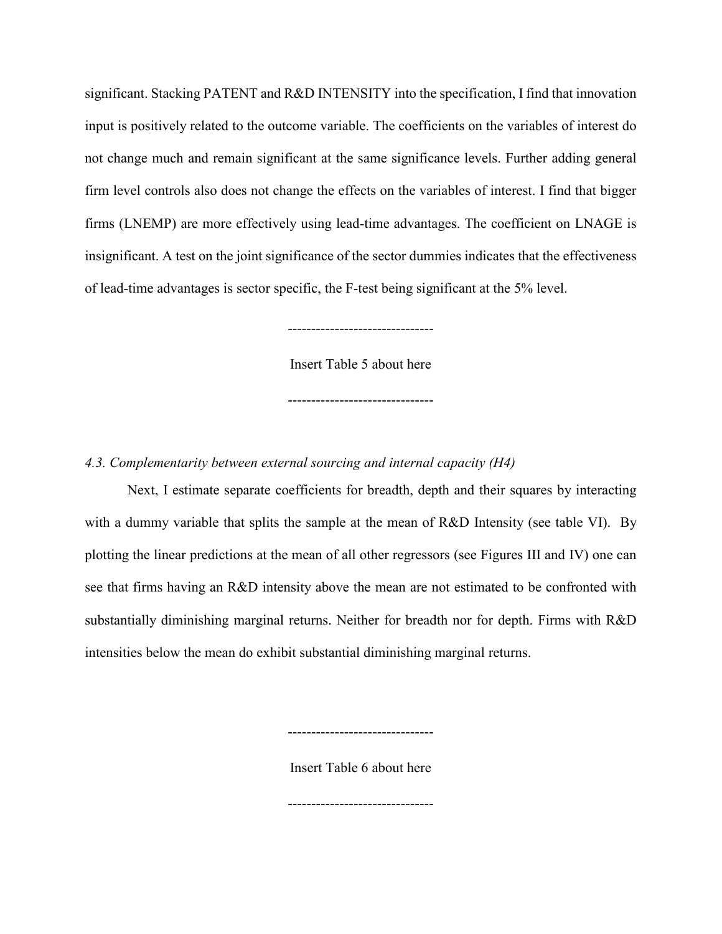significant. Stacking PATENT and R&D INTENSITY into the specification, I find that innovation input is positively related to the outcome variable. The coefficients on the variables of interest do not change much and remain significant at the same significance levels. Further adding general firm level controls also does not change the effects on the variables of interest. I find that bigger firms (LNEMP) are more effectively using lead-time advantages. The coefficient on LNAGE is insignificant. A test on the joint significance of the sector dummies indicates that the effectiveness of lead-time advantages is sector specific, the F-test being significant at the 5% level.

-------------------------------

Insert Table 5 about here

-------------------------------

*4.3. Complementarity between external sourcing and internal capacity (H4)*

Next, I estimate separate coefficients for breadth, depth and their squares by interacting with a dummy variable that splits the sample at the mean of R&D Intensity (see table VI). By plotting the linear predictions at the mean of all other regressors (see Figures III and IV) one can see that firms having an R&D intensity above the mean are not estimated to be confronted with substantially diminishing marginal returns. Neither for breadth nor for depth. Firms with R&D intensities below the mean do exhibit substantial diminishing marginal returns.

Insert Table 6 about here

-------------------------------

-------------------------------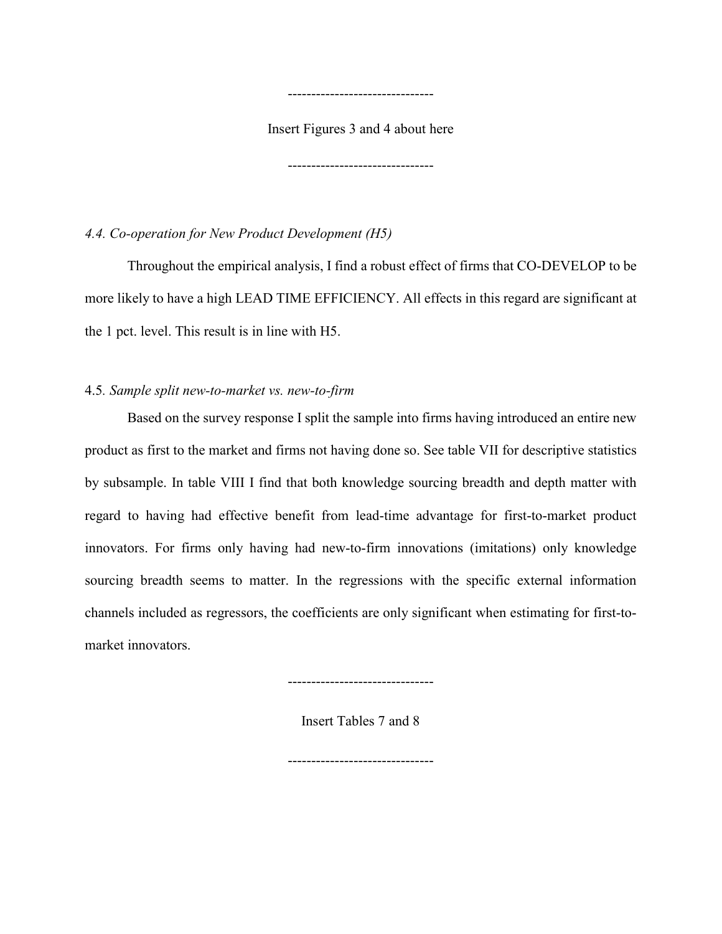Insert Figures 3 and 4 about here

-------------------------------

-------------------------------

### *4.4. Co-operation for New Product Development (H5)*

Throughout the empirical analysis, I find a robust effect of firms that CO-DEVELOP to be more likely to have a high LEAD TIME EFFICIENCY. All effects in this regard are significant at the 1 pct. level. This result is in line with H5.

### 4.5*. Sample split new-to-market vs. new-to-firm*

Based on the survey response I split the sample into firms having introduced an entire new product as first to the market and firms not having done so. See table VII for descriptive statistics by subsample. In table VIII I find that both knowledge sourcing breadth and depth matter with regard to having had effective benefit from lead-time advantage for first-to-market product innovators. For firms only having had new-to-firm innovations (imitations) only knowledge sourcing breadth seems to matter. In the regressions with the specific external information channels included as regressors, the coefficients are only significant when estimating for first-tomarket innovators.

-------------------------------

Insert Tables 7 and 8

-------------------------------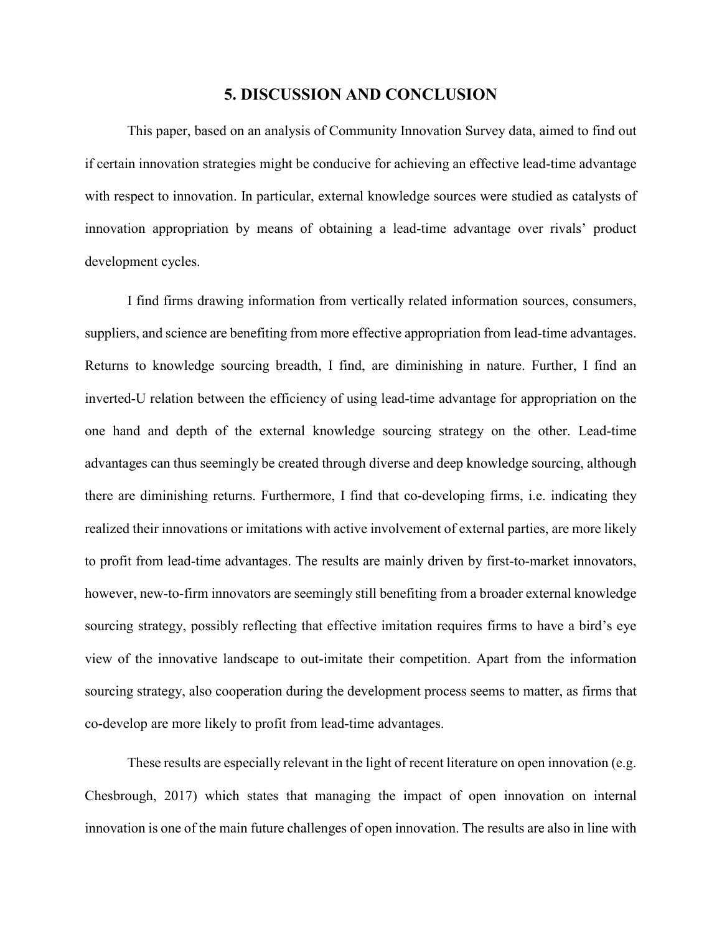#### **5. DISCUSSION AND CONCLUSION**

This paper, based on an analysis of Community Innovation Survey data, aimed to find out if certain innovation strategies might be conducive for achieving an effective lead-time advantage with respect to innovation. In particular, external knowledge sources were studied as catalysts of innovation appropriation by means of obtaining a lead-time advantage over rivals' product development cycles.

I find firms drawing information from vertically related information sources, consumers, suppliers, and science are benefiting from more effective appropriation from lead-time advantages. Returns to knowledge sourcing breadth, I find, are diminishing in nature. Further, I find an inverted-U relation between the efficiency of using lead-time advantage for appropriation on the one hand and depth of the external knowledge sourcing strategy on the other. Lead-time advantages can thus seemingly be created through diverse and deep knowledge sourcing, although there are diminishing returns. Furthermore, I find that co-developing firms, i.e. indicating they realized their innovations or imitations with active involvement of external parties, are more likely to profit from lead-time advantages. The results are mainly driven by first-to-market innovators, however, new-to-firm innovators are seemingly still benefiting from a broader external knowledge sourcing strategy, possibly reflecting that effective imitation requires firms to have a bird's eye view of the innovative landscape to out-imitate their competition. Apart from the information sourcing strategy, also cooperation during the development process seems to matter, as firms that co-develop are more likely to profit from lead-time advantages.

These results are especially relevant in the light of recent literature on open innovation (e.g. Chesbrough, 2017) which states that managing the impact of open innovation on internal innovation is one of the main future challenges of open innovation. The results are also in line with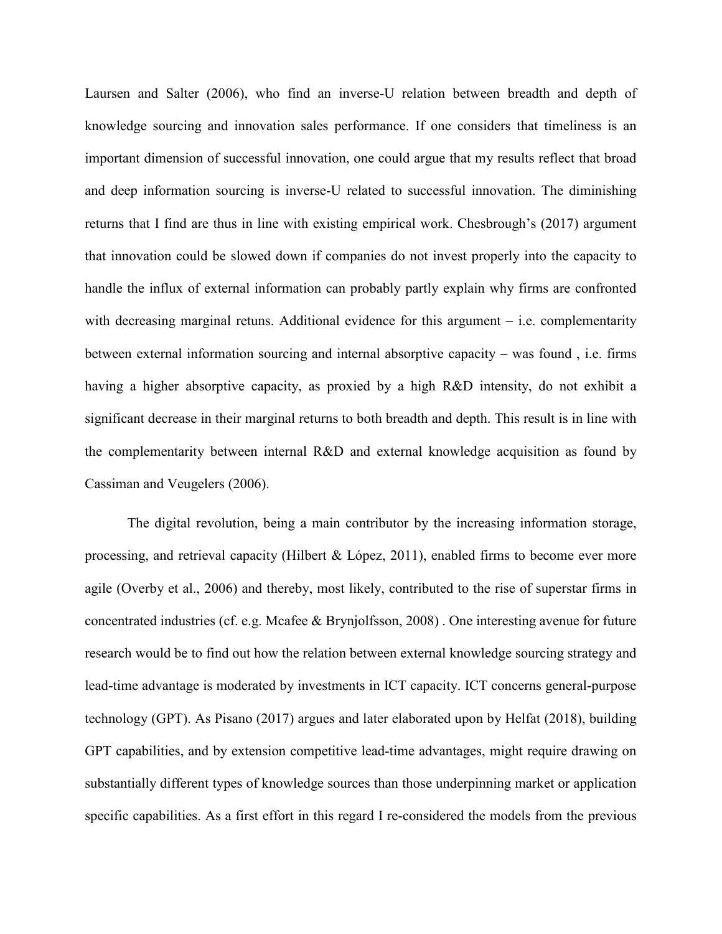Laursen and Salter (2006), who find an inverse-U relation between breadth and depth of knowledge sourcing and innovation sales performance. If one considers that timeliness is an important dimension of successful innovation, one could argue that my results reflect that broad and deep information sourcing is inverse-U related to successful innovation. The diminishing returns that I find are thus in line with existing empirical work. Chesbrough's (2017) argument that innovation could be slowed down if companies do not invest properly into the capacity to handle the influx of external information can probably partly explain why firms are confronted with decreasing marginal retuns. Additional evidence for this argument – i.e. complementarity between external information sourcing and internal absorptive capacity – was found , i.e. firms having a higher absorptive capacity, as proxied by a high R&D intensity, do not exhibit a significant decrease in their marginal returns to both breadth and depth. This result is in line with the complementarity between internal R&D and external knowledge acquisition as found by Cassiman and Veugelers (2006).

The digital revolution, being a main contributor by the increasing information storage, processing, and retrieval capacity (Hilbert & López, 2011), enabled firms to become ever more agile (Overby et al., 2006) and thereby, most likely, contributed to the rise of superstar firms in concentrated industries (cf. e.g. Mcafee & Brynjolfsson, 2008) . One interesting avenue for future research would be to find out how the relation between external knowledge sourcing strategy and lead-time advantage is moderated by investments in ICT capacity. ICT concerns general-purpose technology (GPT). As Pisano (2017) argues and later elaborated upon by Helfat (2018), building GPT capabilities, and by extension competitive lead-time advantages, might require drawing on substantially different types of knowledge sources than those underpinning market or application specific capabilities. As a first effort in this regard I re-considered the models from the previous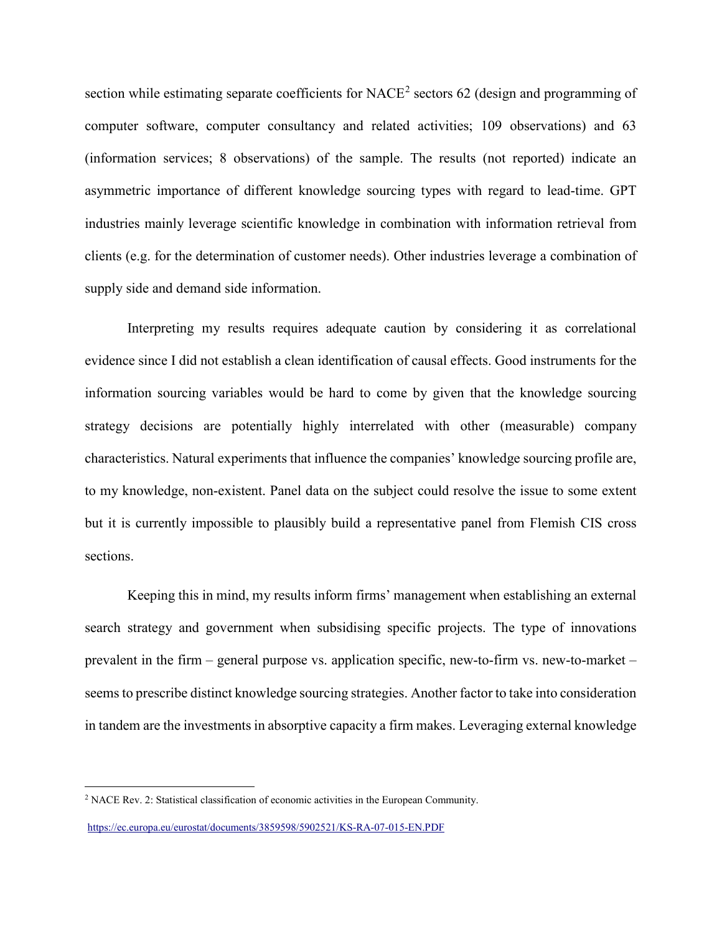section while estimating separate coefficients for NACE<sup>[2](#page-21-0)</sup> sectors 62 (design and programming of computer software, computer consultancy and related activities; 109 observations) and 63 (information services; 8 observations) of the sample. The results (not reported) indicate an asymmetric importance of different knowledge sourcing types with regard to lead-time. GPT industries mainly leverage scientific knowledge in combination with information retrieval from clients (e.g. for the determination of customer needs). Other industries leverage a combination of supply side and demand side information.

Interpreting my results requires adequate caution by considering it as correlational evidence since I did not establish a clean identification of causal effects. Good instruments for the information sourcing variables would be hard to come by given that the knowledge sourcing strategy decisions are potentially highly interrelated with other (measurable) company characteristics. Natural experiments that influence the companies' knowledge sourcing profile are, to my knowledge, non-existent. Panel data on the subject could resolve the issue to some extent but it is currently impossible to plausibly build a representative panel from Flemish CIS cross sections.

Keeping this in mind, my results inform firms' management when establishing an external search strategy and government when subsidising specific projects. The type of innovations prevalent in the firm – general purpose vs. application specific, new-to-firm vs. new-to-market – seems to prescribe distinct knowledge sourcing strategies. Another factor to take into consideration in tandem are the investments in absorptive capacity a firm makes. Leveraging external knowledge

<span id="page-21-0"></span> <sup>2</sup> NACE Rev. 2: Statistical classification of economic activities in the European Community.

<https://ec.europa.eu/eurostat/documents/3859598/5902521/KS-RA-07-015-EN.PDF>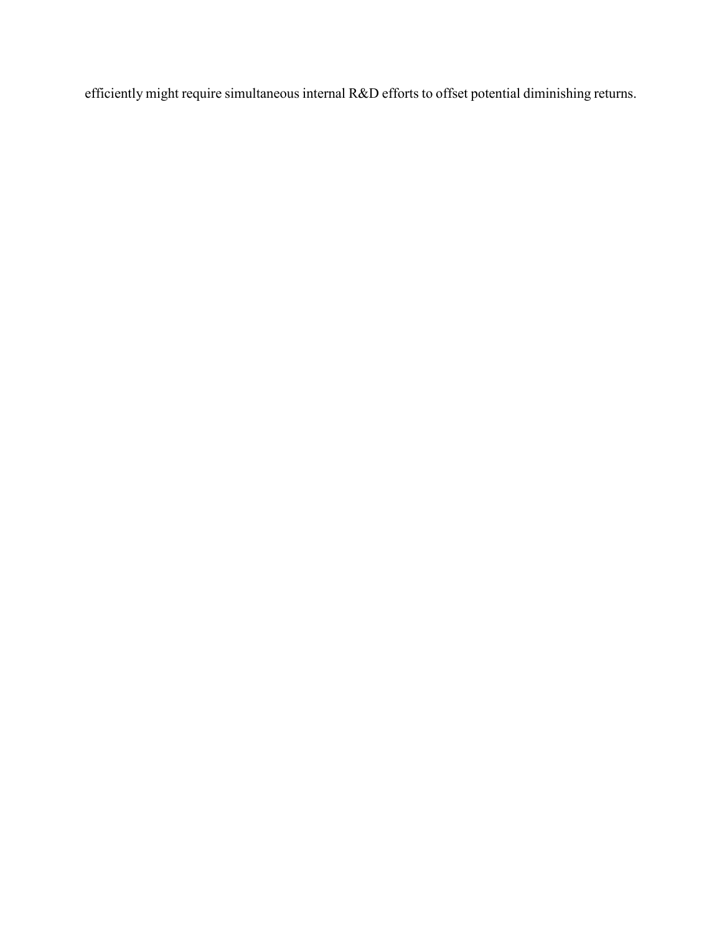efficiently might require simultaneous internal R&D efforts to offset potential diminishing returns.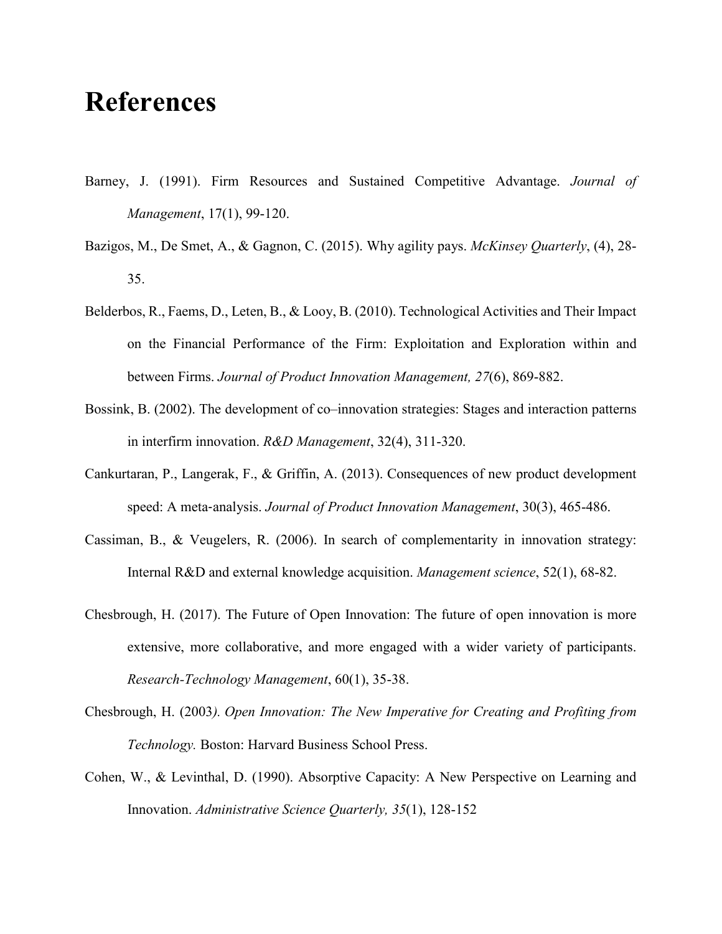# **References**

- Barney, J. (1991). Firm Resources and Sustained Competitive Advantage. *Journal of Management*, 17(1), 99-120.
- Bazigos, M., De Smet, A., & Gagnon, C. (2015). Why agility pays. *McKinsey Quarterly*, (4), 28- 35.
- Belderbos, R., Faems, D., Leten, B., & Looy, B. (2010). Technological Activities and Their Impact on the Financial Performance of the Firm: Exploitation and Exploration within and between Firms. *Journal of Product Innovation Management, 27*(6), 869-882.
- Bossink, B. (2002). The development of co–innovation strategies: Stages and interaction patterns in interfirm innovation. *R&D Management*, 32(4), 311-320.
- Cankurtaran, P., Langerak, F., & Griffin, A. (2013). Consequences of new product development speed: A meta‐analysis. *Journal of Product Innovation Management*, 30(3), 465-486.
- Cassiman, B., & Veugelers, R. (2006). In search of complementarity in innovation strategy: Internal R&D and external knowledge acquisition. *Management science*, 52(1), 68-82.
- Chesbrough, H. (2017). The Future of Open Innovation: The future of open innovation is more extensive, more collaborative, and more engaged with a wider variety of participants. *Research-Technology Management*, 60(1), 35-38.
- Chesbrough, H. (2003*). Open Innovation: The New Imperative for Creating and Profiting from Technology.* Boston: Harvard Business School Press.
- Cohen, W., & Levinthal, D. (1990). Absorptive Capacity: A New Perspective on Learning and Innovation. *Administrative Science Quarterly, 35*(1), 128-152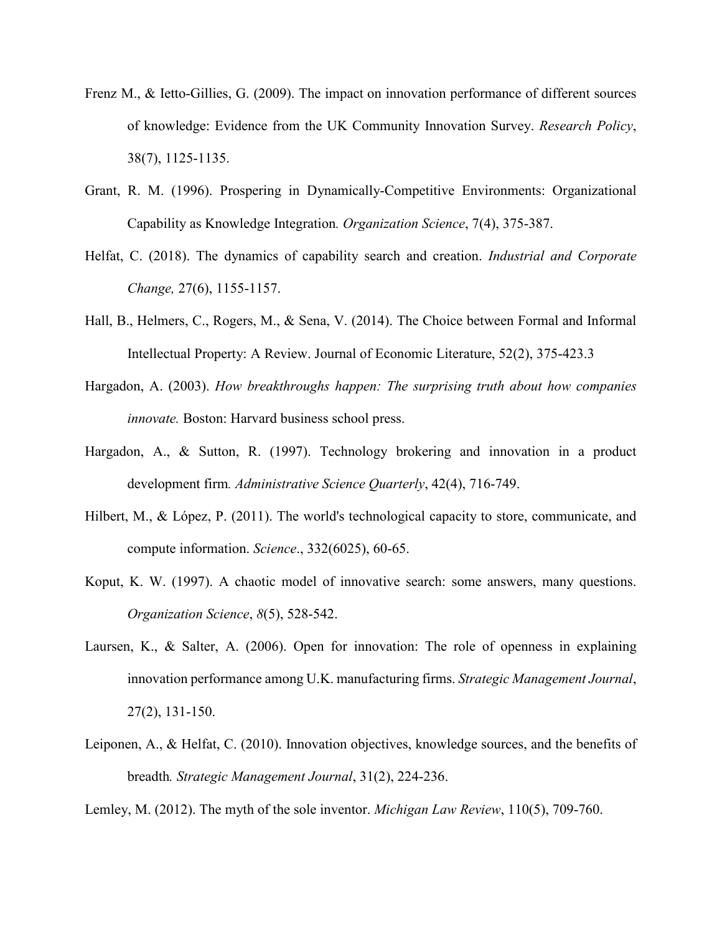- Frenz M., & Ietto-Gillies, G. (2009). The impact on innovation performance of different sources of knowledge: Evidence from the UK Community Innovation Survey. *Research Policy*, 38(7), 1125-1135.
- Grant, R. M. (1996). Prospering in Dynamically-Competitive Environments: Organizational Capability as Knowledge Integration*. Organization Science*, 7(4), 375-387.
- Helfat, C. (2018). The dynamics of capability search and creation. *Industrial and Corporate Change,* 27(6), 1155-1157.
- Hall, B., Helmers, C., Rogers, M., & Sena, V. (2014). The Choice between Formal and Informal Intellectual Property: A Review. Journal of Economic Literature, 52(2), 375-423.3
- Hargadon, A. (2003). *How breakthroughs happen: The surprising truth about how companies innovate.* Boston: Harvard business school press.
- Hargadon, A., & Sutton, R. (1997). Technology brokering and innovation in a product development firm*. Administrative Science Quarterly*, 42(4), 716-749.
- Hilbert, M., & López, P. (2011). The world's technological capacity to store, communicate, and compute information. *Science*., 332(6025), 60-65.
- Koput, K. W. (1997). A chaotic model of innovative search: some answers, many questions. *Organization Science*, *8*(5), 528-542.
- Laursen, K., & Salter, A. (2006). Open for innovation: The role of openness in explaining innovation performance among U.K. manufacturing firms. *Strategic Management Journal*, 27(2), 131-150.
- Leiponen, A., & Helfat, C. (2010). Innovation objectives, knowledge sources, and the benefits of breadth*. Strategic Management Journal*, 31(2), 224-236.

Lemley, M. (2012). The myth of the sole inventor. *Michigan Law Review*, 110(5), 709-760.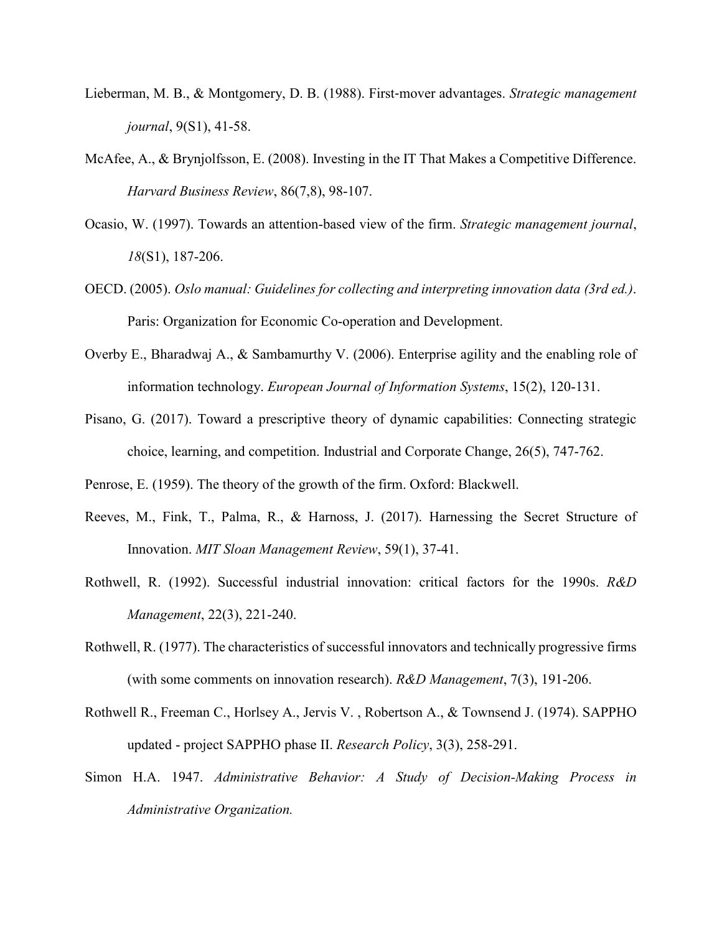- Lieberman, M. B., & Montgomery, D. B. (1988). First‐mover advantages. *Strategic management journal*, 9(S1), 41-58.
- McAfee, A., & Brynjolfsson, E. (2008). Investing in the IT That Makes a Competitive Difference. *Harvard Business Review*, 86(7,8), 98-107.
- Ocasio, W. (1997). Towards an attention‐based view of the firm. *Strategic management journal*, *18*(S1), 187-206.
- OECD. (2005). *Oslo manual: Guidelines for collecting and interpreting innovation data (3rd ed.)*. Paris: Organization for Economic Co-operation and Development.
- Overby E., Bharadwaj A., & Sambamurthy V. (2006). Enterprise agility and the enabling role of information technology. *European Journal of Information Systems*, 15(2), 120-131.
- Pisano, G. (2017). Toward a prescriptive theory of dynamic capabilities: Connecting strategic choice, learning, and competition. Industrial and Corporate Change, 26(5), 747-762.
- Penrose, E. (1959). The theory of the growth of the firm. Oxford: Blackwell.
- Reeves, M., Fink, T., Palma, R., & Harnoss, J. (2017). Harnessing the Secret Structure of Innovation. *MIT Sloan Management Review*, 59(1), 37-41.
- Rothwell, R. (1992). Successful industrial innovation: critical factors for the 1990s. *R&D Management*, 22(3), 221-240.
- Rothwell, R. (1977). The characteristics of successful innovators and technically progressive firms (with some comments on innovation research). *R&D Management*, 7(3), 191-206.
- Rothwell R., Freeman C., Horlsey A., Jervis V. , Robertson A., & Townsend J. (1974). SAPPHO updated - project SAPPHO phase II. *Research Policy*, 3(3), 258-291.
- Simon H.A. 1947. *Administrative Behavior: A Study of Decision-Making Process in Administrative Organization.*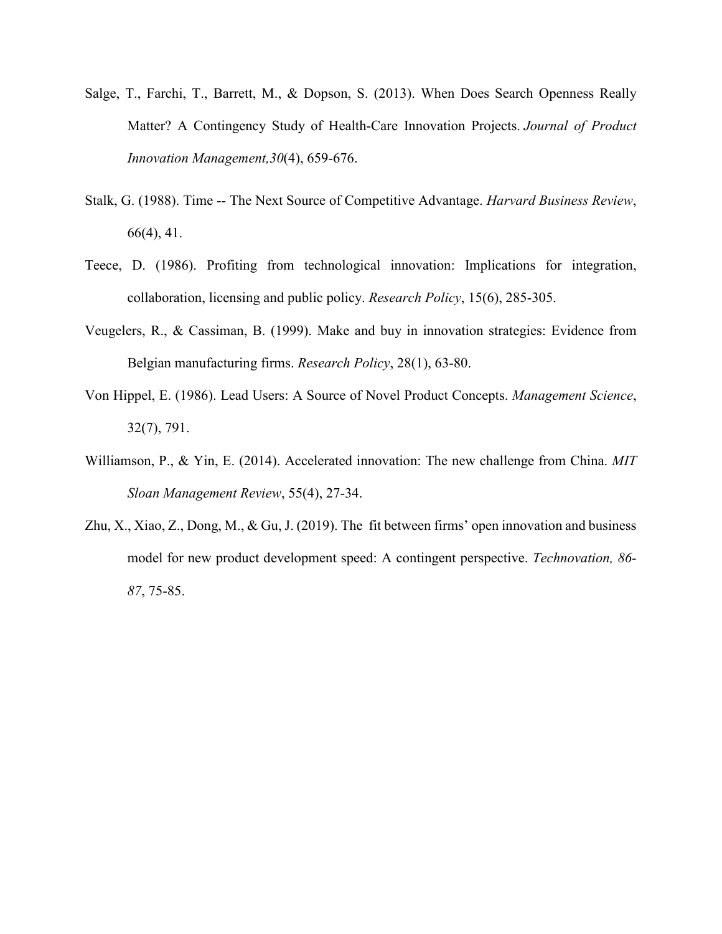- Salge, T., Farchi, T., Barrett, M., & Dopson, S. (2013). When Does Search Openness Really Matter? A Contingency Study of Health‐Care Innovation Projects. *Journal of Product Innovation Management,30*(4), 659-676.
- Stalk, G. (1988). Time -- The Next Source of Competitive Advantage. *Harvard Business Review*, 66(4), 41.
- Teece, D. (1986). Profiting from technological innovation: Implications for integration, collaboration, licensing and public policy. *Research Policy*, 15(6), 285-305.
- Veugelers, R., & Cassiman, B. (1999). Make and buy in innovation strategies: Evidence from Belgian manufacturing firms. *Research Policy*, 28(1), 63-80.
- Von Hippel, E. (1986). Lead Users: A Source of Novel Product Concepts. *Management Science*, 32(7), 791.
- Williamson, P., & Yin, E. (2014). Accelerated innovation: The new challenge from China. *MIT Sloan Management Review*, 55(4), 27-34.
- Zhu, X., Xiao, Z., Dong, M., & Gu, J. (2019). The fit between firms' open innovation and business model for new product development speed: A contingent perspective. *Technovation, 86- 87*, 75-85.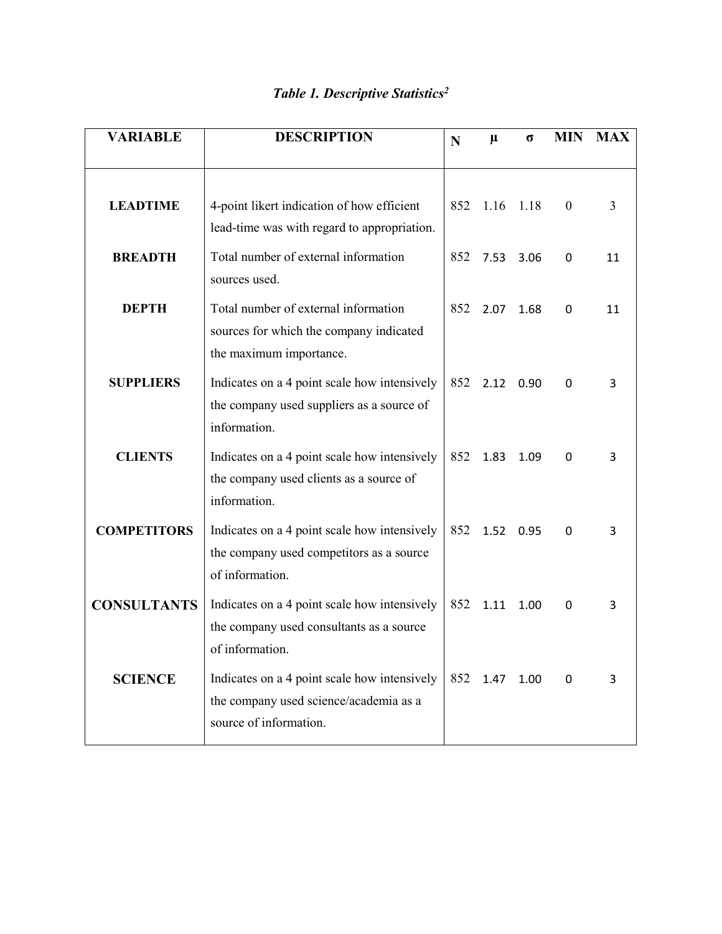| <b>VARIABLE</b>    | <b>DESCRIPTION</b>                                                                                               | N   | $\mu$ | σ    | <b>MIN</b> | <b>MAX</b> |
|--------------------|------------------------------------------------------------------------------------------------------------------|-----|-------|------|------------|------------|
|                    |                                                                                                                  |     |       |      |            |            |
| <b>LEADTIME</b>    | 4-point likert indication of how efficient<br>lead-time was with regard to appropriation.                        | 852 | 1.16  | 1.18 | $\theta$   | 3          |
| <b>BREADTH</b>     | Total number of external information<br>sources used.                                                            | 852 | 7.53  | 3.06 | 0          | 11         |
| <b>DEPTH</b>       | Total number of external information<br>sources for which the company indicated<br>the maximum importance.       | 852 | 2.07  | 1.68 | 0          | 11         |
| <b>SUPPLIERS</b>   | Indicates on a 4 point scale how intensively<br>the company used suppliers as a source of<br>information.        | 852 | 2.12  | 0.90 | 0          | 3          |
| <b>CLIENTS</b>     | Indicates on a 4 point scale how intensively<br>the company used clients as a source of<br>information.          | 852 | 1.83  | 1.09 | 0          | 3          |
| <b>COMPETITORS</b> | Indicates on a 4 point scale how intensively<br>the company used competitors as a source<br>of information.      | 852 | 1.52  | 0.95 | 0          | 3          |
| <b>CONSULTANTS</b> | Indicates on a 4 point scale how intensively<br>the company used consultants as a source<br>of information.      | 852 | 1.11  | 1.00 | 0          | 3          |
| <b>SCIENCE</b>     | Indicates on a 4 point scale how intensively<br>the company used science/academia as a<br>source of information. | 852 | 1.47  | 1.00 | 0          | 3          |

## *Table 1. Descriptive Statistics2*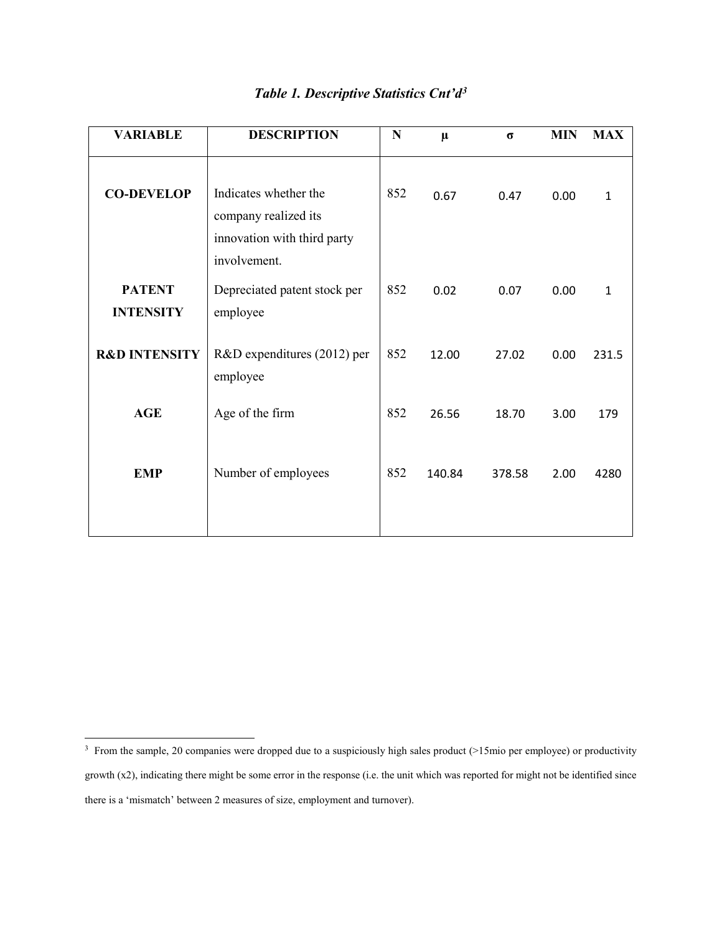| <b>VARIABLE</b>                   | <b>DESCRIPTION</b>                                                                           | N   | $\mu$  | $\sigma$ | <b>MIN</b> | <b>MAX</b>   |
|-----------------------------------|----------------------------------------------------------------------------------------------|-----|--------|----------|------------|--------------|
| <b>CO-DEVELOP</b>                 | Indicates whether the<br>company realized its<br>innovation with third party<br>involvement. | 852 | 0.67   | 0.47     | 0.00       | $\mathbf{1}$ |
| <b>PATENT</b><br><b>INTENSITY</b> | Depreciated patent stock per<br>employee                                                     | 852 | 0.02   | 0.07     | 0.00       | $\mathbf{1}$ |
| <b>R&amp;D INTENSITY</b>          | R&D expenditures (2012) per<br>employee                                                      | 852 | 12.00  | 27.02    | 0.00       | 231.5        |
| <b>AGE</b>                        | Age of the firm                                                                              | 852 | 26.56  | 18.70    | 3.00       | 179          |
| <b>EMP</b>                        | Number of employees                                                                          | 852 | 140.84 | 378.58   | 2.00       | 4280         |

## *Table 1. Descriptive Statistics Cnt'd[3](#page-28-0)*

<span id="page-28-0"></span><sup>&</sup>lt;sup>3</sup> From the sample, 20 companies were dropped due to a suspiciously high sales product (>15mio per employee) or productivity growth (x2), indicating there might be some error in the response (i.e. the unit which was reported for might not be identified since there is a 'mismatch' between 2 measures of size, employment and turnover).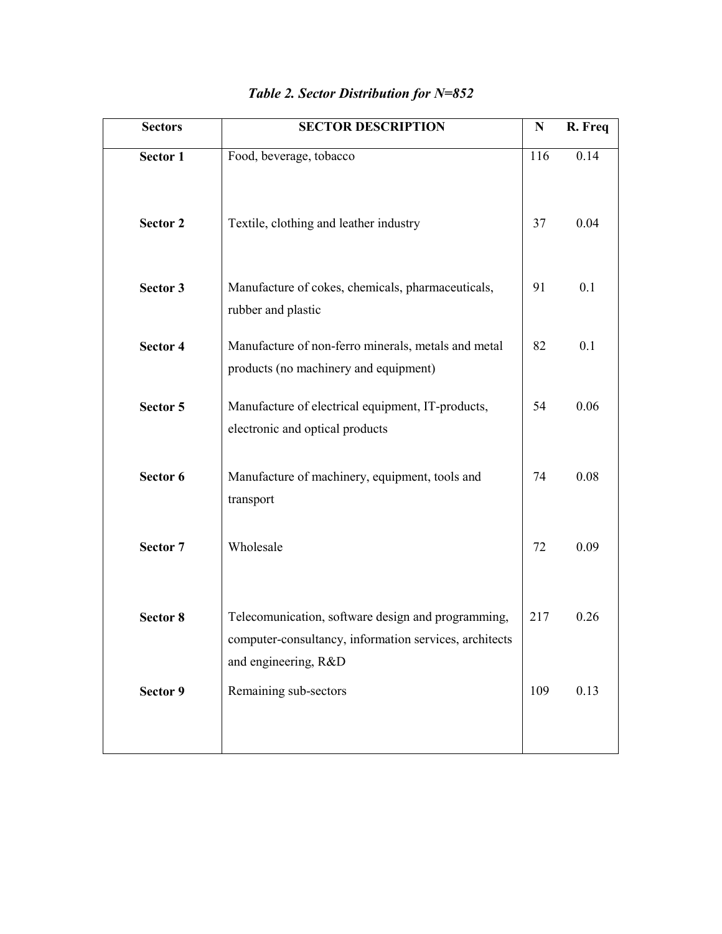| <b>Sectors</b>  | <b>SECTOR DESCRIPTION</b>                                                                                                            | N   | R. Freq |
|-----------------|--------------------------------------------------------------------------------------------------------------------------------------|-----|---------|
| Sector 1        | Food, beverage, tobacco                                                                                                              | 116 | 0.14    |
| <b>Sector 2</b> | Textile, clothing and leather industry                                                                                               | 37  | 0.04    |
| Sector 3        | Manufacture of cokes, chemicals, pharmaceuticals,<br>rubber and plastic                                                              | 91  | 0.1     |
| <b>Sector 4</b> | Manufacture of non-ferro minerals, metals and metal<br>products (no machinery and equipment)                                         | 82  | 0.1     |
| Sector 5        | Manufacture of electrical equipment, IT-products,<br>electronic and optical products                                                 | 54  | 0.06    |
| Sector 6        | Manufacture of machinery, equipment, tools and<br>transport                                                                          | 74  | 0.08    |
| Sector 7        | Wholesale                                                                                                                            | 72  | 0.09    |
| Sector 8        | Telecomunication, software design and programming,<br>computer-consultancy, information services, architects<br>and engineering, R&D | 217 | 0.26    |
| Sector 9        | Remaining sub-sectors                                                                                                                | 109 | 0.13    |

## *Table 2. Sector Distribution for N=852*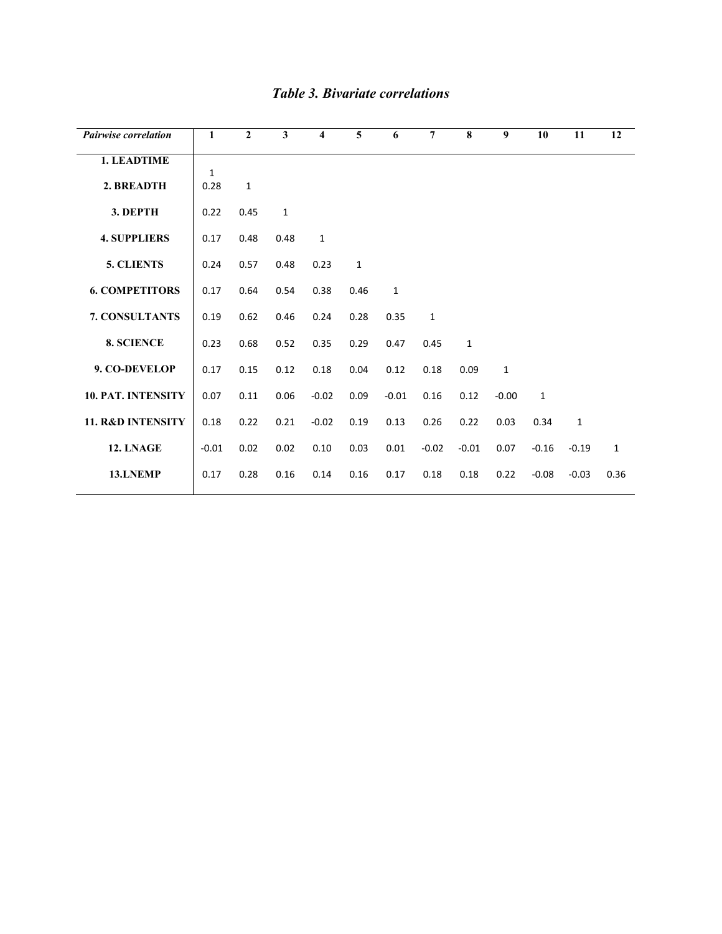| <b>Pairwise correlation</b>  | 1            | $\mathbf{2}$ | $\mathbf{3}$ | 4            | 5            | 6            | $\overline{7}$ | 8            | 9            | 10           | 11           | 12           |
|------------------------------|--------------|--------------|--------------|--------------|--------------|--------------|----------------|--------------|--------------|--------------|--------------|--------------|
| 1. LEADTIME                  | $\mathbf{1}$ |              |              |              |              |              |                |              |              |              |              |              |
| 2. BREADTH                   | 0.28         | $\mathbf{1}$ |              |              |              |              |                |              |              |              |              |              |
| 3. DEPTH                     | 0.22         | 0.45         | $\mathbf{1}$ |              |              |              |                |              |              |              |              |              |
| <b>4. SUPPLIERS</b>          | 0.17         | 0.48         | 0.48         | $\mathbf{1}$ |              |              |                |              |              |              |              |              |
| 5. CLIENTS                   | 0.24         | 0.57         | 0.48         | 0.23         | $\mathbf{1}$ |              |                |              |              |              |              |              |
| <b>6. COMPETITORS</b>        | 0.17         | 0.64         | 0.54         | 0.38         | 0.46         | $\mathbf{1}$ |                |              |              |              |              |              |
| 7. CONSULTANTS               | 0.19         | 0.62         | 0.46         | 0.24         | 0.28         | 0.35         | $\mathbf{1}$   |              |              |              |              |              |
| 8. SCIENCE                   | 0.23         | 0.68         | 0.52         | 0.35         | 0.29         | 0.47         | 0.45           | $\mathbf{1}$ |              |              |              |              |
| 9. CO-DEVELOP                | 0.17         | 0.15         | 0.12         | 0.18         | 0.04         | 0.12         | 0.18           | 0.09         | $\mathbf{1}$ |              |              |              |
| 10. PAT. INTENSITY           | 0.07         | 0.11         | 0.06         | $-0.02$      | 0.09         | $-0.01$      | 0.16           | 0.12         | $-0.00$      | $\mathbf{1}$ |              |              |
| <b>11. R&amp;D INTENSITY</b> | 0.18         | 0.22         | 0.21         | $-0.02$      | 0.19         | 0.13         | 0.26           | 0.22         | 0.03         | 0.34         | $\mathbf{1}$ |              |
| 12. LNAGE                    | $-0.01$      | 0.02         | 0.02         | 0.10         | 0.03         | 0.01         | $-0.02$        | $-0.01$      | 0.07         | $-0.16$      | $-0.19$      | $\mathbf{1}$ |
| 13.LNEMP                     | 0.17         | 0.28         | 0.16         | 0.14         | 0.16         | 0.17         | 0.18           | 0.18         | 0.22         | $-0.08$      | $-0.03$      | 0.36         |

## *Table 3. Bivariate correlations*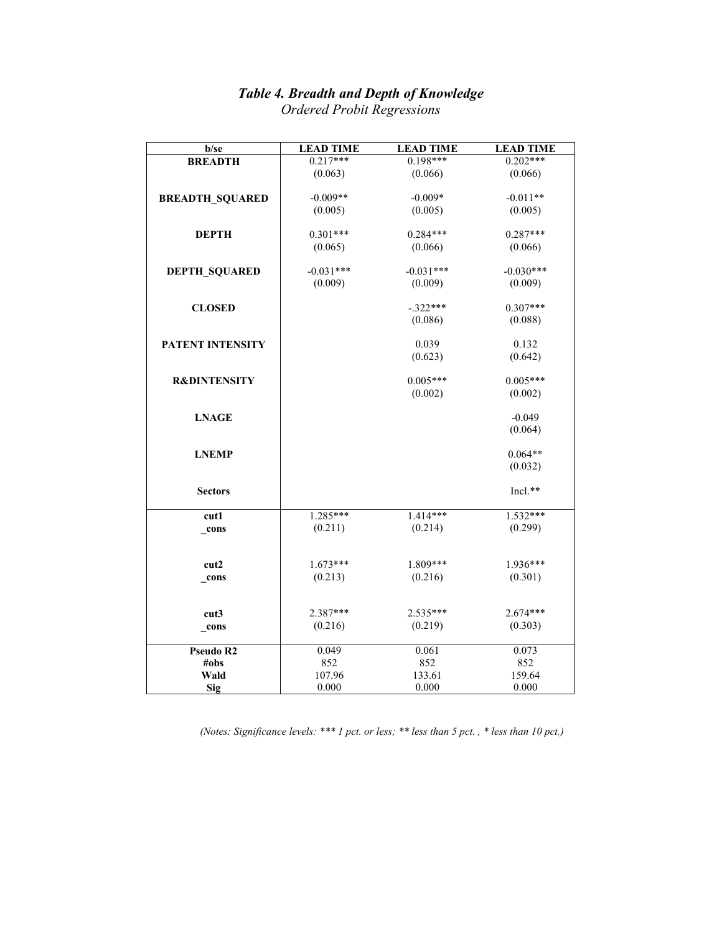#### *Table 4. Breadth and Depth of Knowledge*

| b/se                    | <b>LEAD TIME</b> | <b>LEAD TIME</b> | <b>LEAD TIME</b> |
|-------------------------|------------------|------------------|------------------|
| <b>BREADTH</b>          | $0.217***$       | $0.198***$       | $0.202***$       |
|                         | (0.063)          | (0.066)          | (0.066)          |
|                         |                  |                  |                  |
| <b>BREADTH_SQUARED</b>  | $-0.009**$       | $-0.009*$        | $-0.011**$       |
|                         | (0.005)          | (0.005)          | (0.005)          |
|                         |                  |                  |                  |
| <b>DEPTH</b>            | $0.301***$       | $0.284***$       | $0.287***$       |
|                         | (0.065)          | (0.066)          | (0.066)          |
|                         |                  |                  |                  |
| <b>DEPTH_SQUARED</b>    | $-0.031***$      | $-0.031***$      | $-0.030***$      |
|                         | (0.009)          | (0.009)          | (0.009)          |
| <b>CLOSED</b>           |                  | $-.322***$       | $0.307***$       |
|                         |                  | (0.086)          | (0.088)          |
|                         |                  |                  |                  |
| <b>PATENT INTENSITY</b> |                  | 0.039            | 0.132            |
|                         |                  | (0.623)          | (0.642)          |
|                         |                  |                  |                  |
| <b>R&amp;DINTENSITY</b> |                  | $0.005***$       | $0.005***$       |
|                         |                  | (0.002)          | (0.002)          |
|                         |                  |                  |                  |
| <b>LNAGE</b>            |                  |                  | $-0.049$         |
|                         |                  |                  | (0.064)          |
|                         |                  |                  |                  |
| <b>LNEMP</b>            |                  |                  | $0.064**$        |
|                         |                  |                  | (0.032)          |
|                         |                  |                  |                  |
| <b>Sectors</b>          |                  |                  | Incl.**          |
|                         |                  | $1.414***$       | $1.532***$       |
| cut1                    | 1.285***         |                  |                  |
| _cons                   | (0.211)          | (0.214)          | (0.299)          |
|                         |                  |                  |                  |
| cut2                    | $1.673***$       | 1.809***         | 1.936***         |
| _cons                   | (0.213)          | (0.216)          | (0.301)          |
|                         |                  |                  |                  |
|                         |                  |                  |                  |
| cut3                    | 2.387***         | $2.535***$       | 2.674***         |
| _cons                   | (0.216)          | (0.219)          | (0.303)          |
|                         |                  |                  |                  |
| Pseudo R2               | 0.049            | 0.061            | 0.073            |
| #obs                    | 852              | 852              | 852              |
| Wald                    | 107.96           | 133.61           | 159.64           |
| Sig                     | 0.000            | 0.000            | 0.000            |

*Ordered Probit Regressions* 

*(Notes: Significance levels: \*\*\* 1 pct. or less; \*\* less than 5 pct. , \* less than 10 pct.)*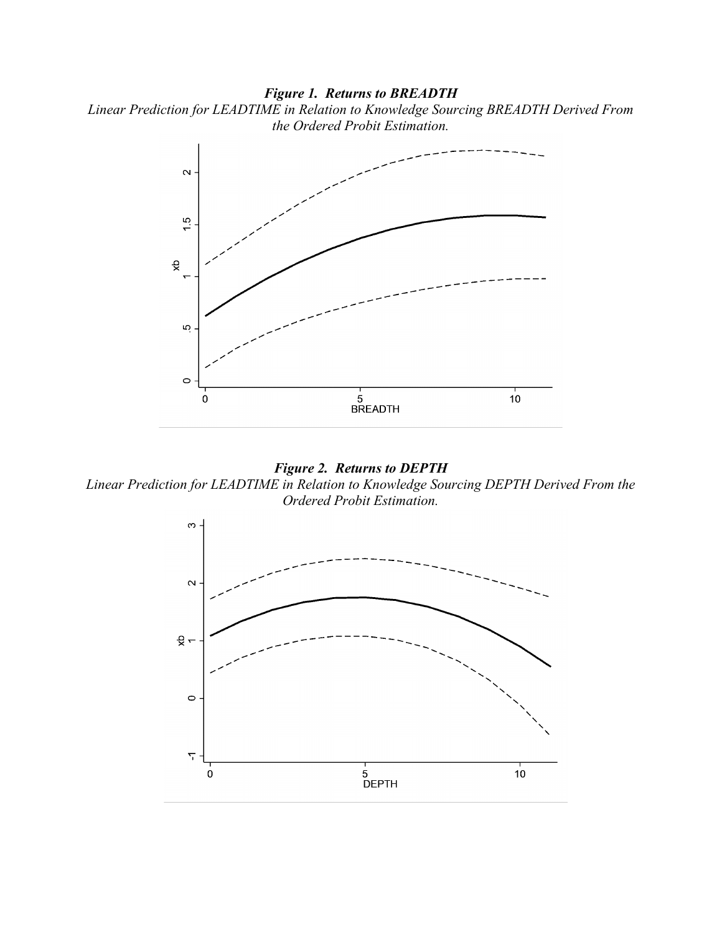## *Figure 1. Returns to BREADTH*





## *Figure 2. Returns to DEPTH*

*Linear Prediction for LEADTIME in Relation to Knowledge Sourcing DEPTH Derived From the Ordered Probit Estimation.*

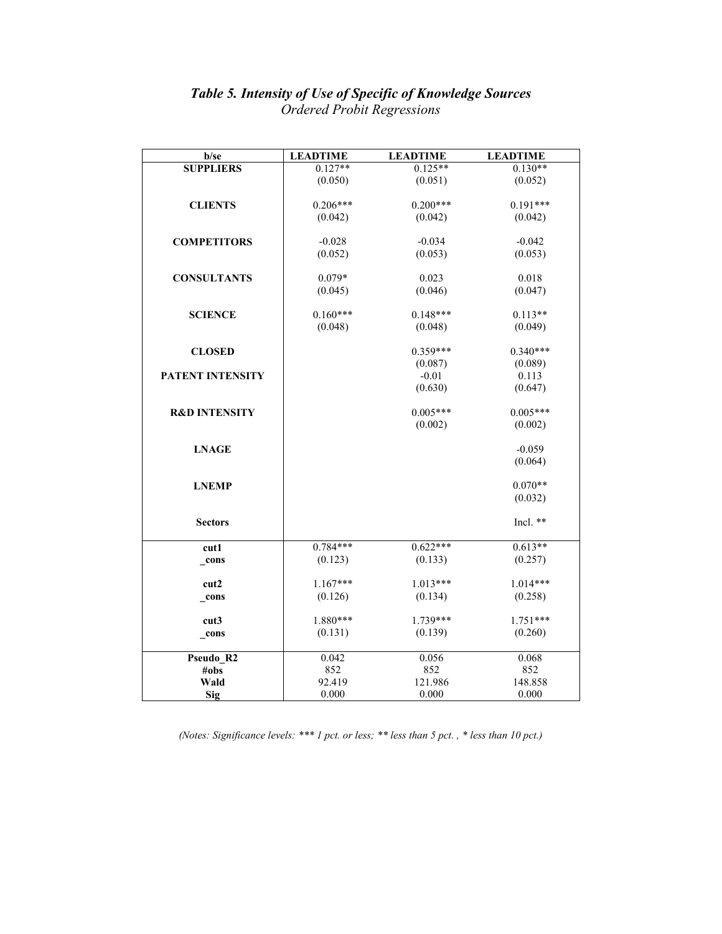#### *Table 5. Intensity of Use of Specific of Knowledge Sources Ordered Probit Regressions*

| $0.127**$<br><b>SUPPLIERS</b><br>$0.125**$<br>$0.130**$<br>(0.051)<br>(0.050)<br>(0.052)<br>$0.200***$<br><b>CLIENTS</b><br>$0.206***$<br>$0.191***$<br>(0.042)<br>(0.042)<br>(0.042)<br>$-0.034$<br>$-0.042$<br><b>COMPETITORS</b><br>$-0.028$<br>(0.052)<br>(0.053)<br>(0.053)<br>$0.079*$<br>0.023<br>0.018<br><b>CONSULTANTS</b><br>(0.046)<br>(0.047)<br>(0.045)<br>$0.160***$<br>$0.148***$<br>$0.113**$<br><b>SCIENCE</b><br>(0.048)<br>(0.048)<br>(0.049)<br>$0.359***$<br>$0.340***$<br><b>CLOSED</b><br>(0.087)<br>(0.089)<br>$-0.01$<br>0.113<br>PATENT INTENSITY<br>(0.630)<br>(0.647) |
|----------------------------------------------------------------------------------------------------------------------------------------------------------------------------------------------------------------------------------------------------------------------------------------------------------------------------------------------------------------------------------------------------------------------------------------------------------------------------------------------------------------------------------------------------------------------------------------------------|
|                                                                                                                                                                                                                                                                                                                                                                                                                                                                                                                                                                                                    |
|                                                                                                                                                                                                                                                                                                                                                                                                                                                                                                                                                                                                    |
|                                                                                                                                                                                                                                                                                                                                                                                                                                                                                                                                                                                                    |
|                                                                                                                                                                                                                                                                                                                                                                                                                                                                                                                                                                                                    |
|                                                                                                                                                                                                                                                                                                                                                                                                                                                                                                                                                                                                    |
|                                                                                                                                                                                                                                                                                                                                                                                                                                                                                                                                                                                                    |
|                                                                                                                                                                                                                                                                                                                                                                                                                                                                                                                                                                                                    |
|                                                                                                                                                                                                                                                                                                                                                                                                                                                                                                                                                                                                    |
|                                                                                                                                                                                                                                                                                                                                                                                                                                                                                                                                                                                                    |
|                                                                                                                                                                                                                                                                                                                                                                                                                                                                                                                                                                                                    |
|                                                                                                                                                                                                                                                                                                                                                                                                                                                                                                                                                                                                    |
|                                                                                                                                                                                                                                                                                                                                                                                                                                                                                                                                                                                                    |
|                                                                                                                                                                                                                                                                                                                                                                                                                                                                                                                                                                                                    |
|                                                                                                                                                                                                                                                                                                                                                                                                                                                                                                                                                                                                    |
|                                                                                                                                                                                                                                                                                                                                                                                                                                                                                                                                                                                                    |
|                                                                                                                                                                                                                                                                                                                                                                                                                                                                                                                                                                                                    |
|                                                                                                                                                                                                                                                                                                                                                                                                                                                                                                                                                                                                    |
|                                                                                                                                                                                                                                                                                                                                                                                                                                                                                                                                                                                                    |
|                                                                                                                                                                                                                                                                                                                                                                                                                                                                                                                                                                                                    |
|                                                                                                                                                                                                                                                                                                                                                                                                                                                                                                                                                                                                    |
| $0.005***$<br>$0.005***$<br><b>R&amp;D INTENSITY</b>                                                                                                                                                                                                                                                                                                                                                                                                                                                                                                                                               |
| (0.002)<br>(0.002)                                                                                                                                                                                                                                                                                                                                                                                                                                                                                                                                                                                 |
|                                                                                                                                                                                                                                                                                                                                                                                                                                                                                                                                                                                                    |
| <b>LNAGE</b><br>$-0.059$                                                                                                                                                                                                                                                                                                                                                                                                                                                                                                                                                                           |
| (0.064)                                                                                                                                                                                                                                                                                                                                                                                                                                                                                                                                                                                            |
| $0.070**$                                                                                                                                                                                                                                                                                                                                                                                                                                                                                                                                                                                          |
| <b>LNEMP</b>                                                                                                                                                                                                                                                                                                                                                                                                                                                                                                                                                                                       |
| (0.032)                                                                                                                                                                                                                                                                                                                                                                                                                                                                                                                                                                                            |
| Incl. **<br><b>Sectors</b>                                                                                                                                                                                                                                                                                                                                                                                                                                                                                                                                                                         |
|                                                                                                                                                                                                                                                                                                                                                                                                                                                                                                                                                                                                    |
| $0.784***$<br>$0.622***$<br>$0.613**$<br>cut1                                                                                                                                                                                                                                                                                                                                                                                                                                                                                                                                                      |
| (0.123)<br>(0.133)<br>(0.257)<br>_cons                                                                                                                                                                                                                                                                                                                                                                                                                                                                                                                                                             |
|                                                                                                                                                                                                                                                                                                                                                                                                                                                                                                                                                                                                    |
| $1.167***$<br>$1.013***$<br>$1.014***$<br>cut2                                                                                                                                                                                                                                                                                                                                                                                                                                                                                                                                                     |
| (0.126)<br>(0.134)<br>(0.258)<br>cons                                                                                                                                                                                                                                                                                                                                                                                                                                                                                                                                                              |
|                                                                                                                                                                                                                                                                                                                                                                                                                                                                                                                                                                                                    |
| 1.880***<br>1.739***<br>$1.751***$<br>cut3                                                                                                                                                                                                                                                                                                                                                                                                                                                                                                                                                         |
| (0.131)<br>(0.139)<br>(0.260)<br>$_{cons}$                                                                                                                                                                                                                                                                                                                                                                                                                                                                                                                                                         |
|                                                                                                                                                                                                                                                                                                                                                                                                                                                                                                                                                                                                    |
| 0.042<br>0.056<br>0.068<br>Pseudo_R2                                                                                                                                                                                                                                                                                                                                                                                                                                                                                                                                                               |
| 852<br>852<br>852<br>#obs                                                                                                                                                                                                                                                                                                                                                                                                                                                                                                                                                                          |
| 92.419<br>Wald<br>121.986<br>148.858                                                                                                                                                                                                                                                                                                                                                                                                                                                                                                                                                               |
| Sig<br>0.000<br>0.000<br>0.000                                                                                                                                                                                                                                                                                                                                                                                                                                                                                                                                                                     |

*(Notes: Significance levels: \*\*\* 1 pct. or less; \*\* less than 5 pct. , \* less than 10 pct.)*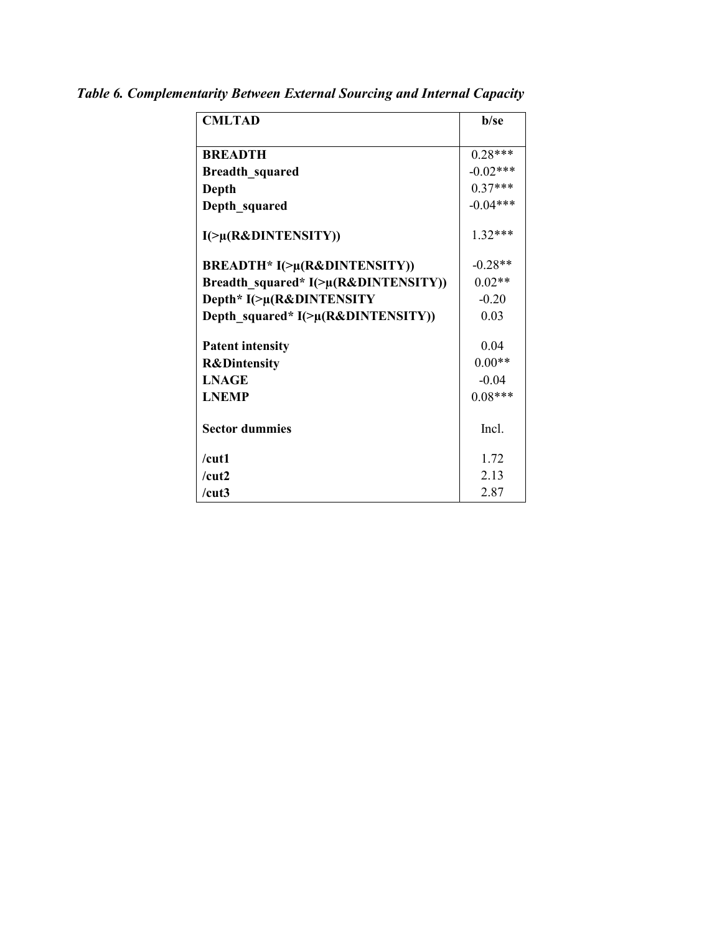| <b>CMLTAD</b>                              | <b>b</b> /se |
|--------------------------------------------|--------------|
|                                            |              |
| <b>BREADTH</b>                             | $0.28***$    |
| <b>Breadth_squared</b>                     | $-0.02***$   |
| Depth                                      | $0.37***$    |
| Depth squared                              | $-0.04***$   |
| I(>µ(R&DINTENSITY))                        | $1.32***$    |
| <b>BREADTH* I(&gt;µ(R&amp;DINTENSITY))</b> | $-0.28**$    |
| Breadth_squared* I(>µ(R&DINTENSITY))       | $0.02**$     |
| Depth* I(>µ(R&DINTENSITY                   | $-0.20$      |
| Depth_squared* I(>µ(R&DINTENSITY))         | 0.03         |
|                                            |              |
| <b>Patent intensity</b>                    | 0.04         |
| <b>R&amp;Dintensity</b>                    | $0.00**$     |
| <b>LNAGE</b>                               | $-0.04$      |
| <b>LNEMP</b>                               | $0.08***$    |
|                                            |              |
| <b>Sector dummies</b>                      | Incl.        |
| $/cu$ t1                                   | 1.72         |
| /cut2                                      | 2.13         |
| /cut3                                      | 2.87         |

*Table 6. Complementarity Between External Sourcing and Internal Capacity*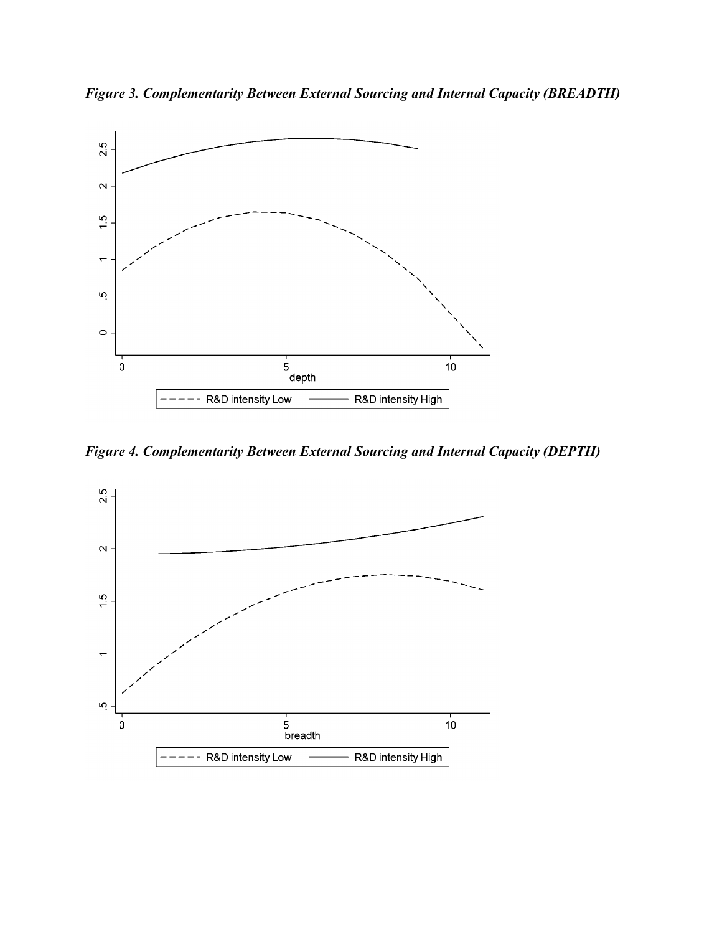



*Figure 4. Complementarity Between External Sourcing and Internal Capacity (DEPTH)*

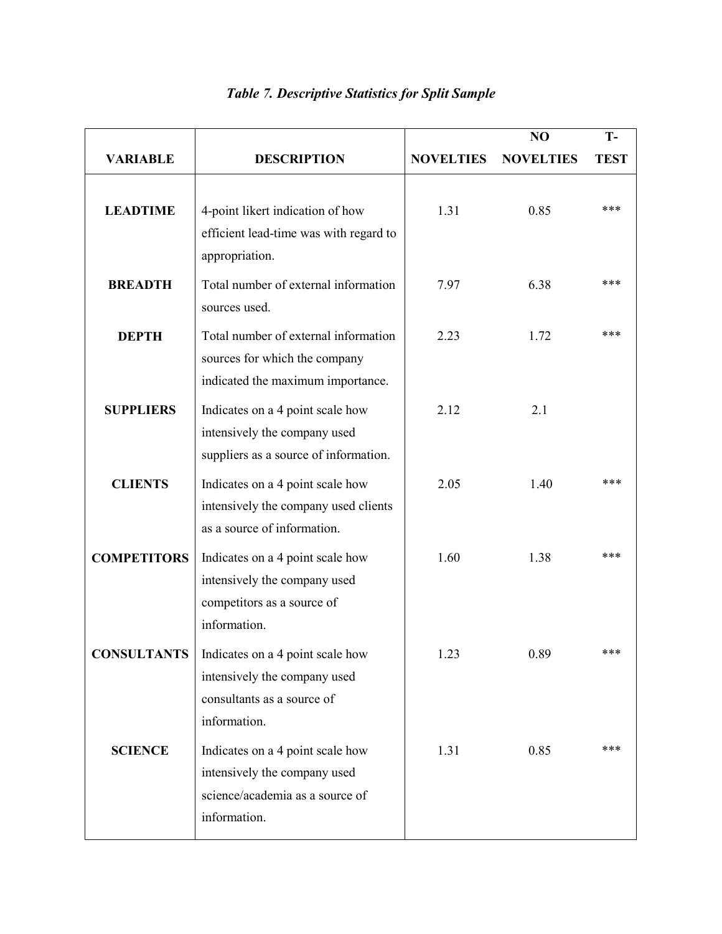|                    |                                                                                                                     |                  | NO               | T-          |
|--------------------|---------------------------------------------------------------------------------------------------------------------|------------------|------------------|-------------|
| <b>VARIABLE</b>    | <b>DESCRIPTION</b>                                                                                                  | <b>NOVELTIES</b> | <b>NOVELTIES</b> | <b>TEST</b> |
| <b>LEADTIME</b>    | 4-point likert indication of how<br>efficient lead-time was with regard to<br>appropriation.                        | 1.31             | 0.85             | ***         |
| <b>BREADTH</b>     | Total number of external information<br>sources used.                                                               | 7.97             | 6.38             | ***         |
| <b>DEPTH</b>       | Total number of external information<br>sources for which the company<br>indicated the maximum importance.          | 2.23             | 1.72             | ***         |
| <b>SUPPLIERS</b>   | Indicates on a 4 point scale how<br>intensively the company used<br>suppliers as a source of information.           | 2.12             | 2.1              |             |
| <b>CLIENTS</b>     | Indicates on a 4 point scale how<br>intensively the company used clients<br>as a source of information.             | 2.05             | 1.40             | ***         |
| <b>COMPETITORS</b> | Indicates on a 4 point scale how<br>intensively the company used<br>competitors as a source of<br>information.      | 1.60             | 1.38             | ***         |
| <b>CONSULTANTS</b> | Indicates on a 4 point scale how<br>intensively the company used<br>consultants as a source of<br>information.      | 1.23             | 0.89             |             |
| <b>SCIENCE</b>     | Indicates on a 4 point scale how<br>intensively the company used<br>science/academia as a source of<br>information. | 1.31             | 0.85             | ***         |

## *Table 7. Descriptive Statistics for Split Sample*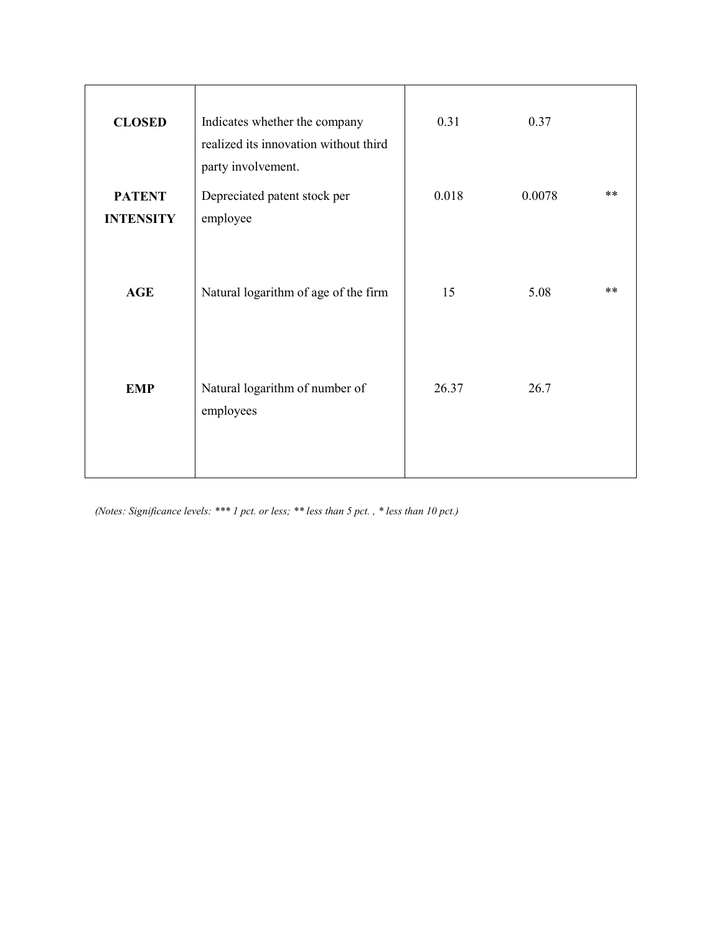| Indicates whether the company<br>realized its innovation without third | 0.31               | 0.37   |    |
|------------------------------------------------------------------------|--------------------|--------|----|
| Depreciated patent stock per<br>employee                               | 0.018              | 0.0078 | ** |
| Natural logarithm of age of the firm                                   | 15                 | 5.08   | ** |
| Natural logarithm of number of<br>employees                            | 26.37              | 26.7   |    |
|                                                                        | party involvement. |        |    |

*(Notes: Significance levels: \*\*\* 1 pct. or less; \*\* less than 5 pct. , \* less than 10 pct.)*